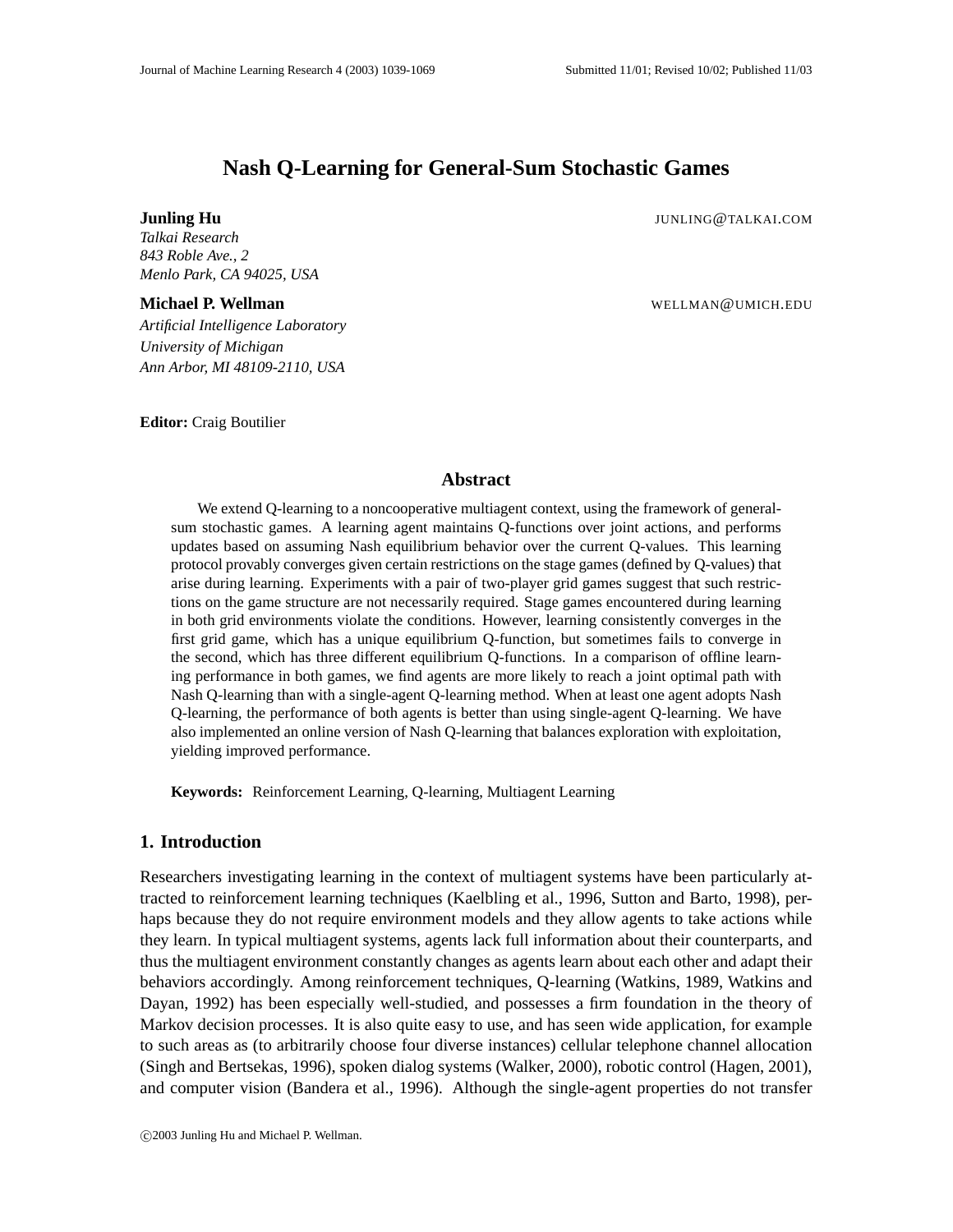# **Nash Q-Learning for General-Sum Stochastic Games**

**Junling Hu JUNLING@TALKAI.COM** 

*Talkai Research 843 Roble Ave., 2 Menlo Park, CA 94025, USA*

**Michael P. Wellman** WELLMAN WELLMAN WELLMAN WELLMAN WELLMAN WELLMAN WELLMAN WELLMAN WELLMAN WELLMAN WELLMAN WELLMAN WELLMAN WELLMAN WELLMAN WELLMAN WELLMAN WELLMAN WELLMAN WELLMAN WELLMAN WELLMAN WELLMAN WELLMAN WELLMAN W

*Artificial Intelligence Laboratory University of Michigan Ann Arbor, MI 48109-2110, USA*

**Editor:** Craig Boutilier

# **Abstract**

We extend Q-learning to a noncooperative multiagent context, using the framework of generalsum stochastic games. A learning agent maintains Q-functions over joint actions, and performs updates based on assuming Nash equilibrium behavior over the current Q-values. This learning protocol provably converges given certain restrictions on the stage games (defined by Q-values) that arise during learning. Experiments with a pair of two-player grid games suggest that such restrictions on the game structure are not necessarily required. Stage games encountered during learning in both grid environments violate the conditions. However, learning consistently converges in the first grid game, which has a unique equilibrium Q-function, but sometimes fails to converge in the second, which has three different equilibrium Q-functions. In a comparison of offline learning performance in both games, we find agents are more likely to reach a joint optimal path with Nash Q-learning than with a single-agent Q-learning method. When at least one agent adopts Nash Q-learning, the performance of both agents is better than using single-agent Q-learning. We have also implemented an online version of Nash Q-learning that balances exploration with exploitation, yielding improved performance.

**Keywords:** Reinforcement Learning, Q-learning, Multiagent Learning

## **1. Introduction**

Researchers investigating learning in the context of multiagent systems have been particularly attracted to reinforcement learning techniques (Kaelbling et al., 1996, Sutton and Barto, 1998), perhaps because they do not require environment models and they allow agents to take actions while they learn. In typical multiagent systems, agents lack full information about their counterparts, and thus the multiagent environment constantly changes as agents learn about each other and adapt their behaviors accordingly. Among reinforcement techniques, Q-learning (Watkins, 1989, Watkins and Dayan, 1992) has been especially well-studied, and possesses a firm foundation in the theory of Markov decision processes. It is also quite easy to use, and has seen wide application, for example to such areas as (to arbitrarily choose four diverse instances) cellular telephone channel allocation (Singh and Bertsekas, 1996), spoken dialog systems (Walker, 2000), robotic control (Hagen, 2001), and computer vision (Bandera et al., 1996). Although the single-agent properties do not transfer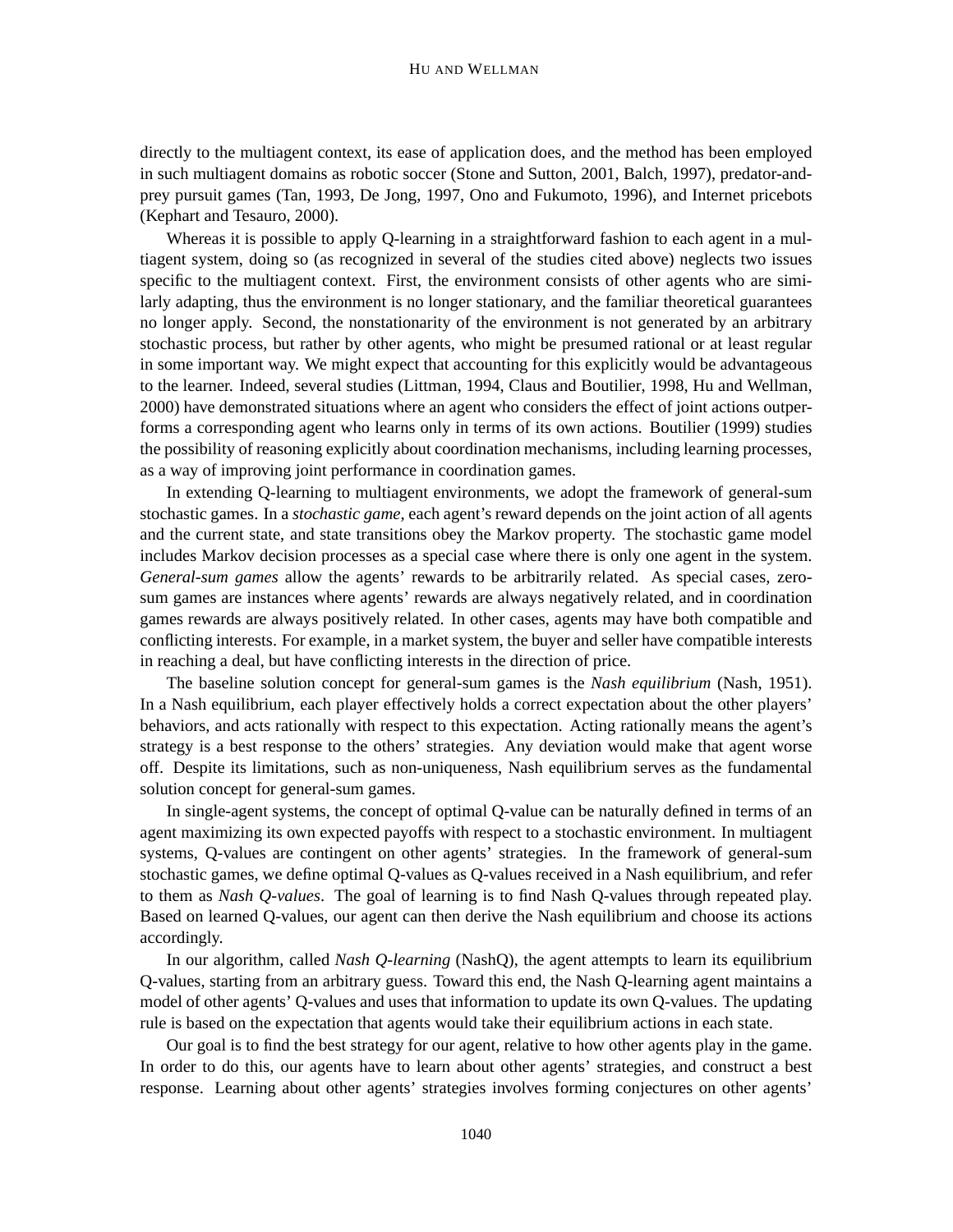directly to the multiagent context, its ease of application does, and the method has been employed in such multiagent domains as robotic soccer (Stone and Sutton, 2001, Balch, 1997), predator-andprey pursuit games (Tan, 1993, De Jong, 1997, Ono and Fukumoto, 1996), and Internet pricebots (Kephart and Tesauro, 2000).

Whereas it is possible to apply Q-learning in a straightforward fashion to each agent in a multiagent system, doing so (as recognized in several of the studies cited above) neglects two issues specific to the multiagent context. First, the environment consists of other agents who are similarly adapting, thus the environment is no longer stationary, and the familiar theoretical guarantees no longer apply. Second, the nonstationarity of the environment is not generated by an arbitrary stochastic process, but rather by other agents, who might be presumed rational or at least regular in some important way. We might expect that accounting for this explicitly would be advantageous to the learner. Indeed, several studies (Littman, 1994, Claus and Boutilier, 1998, Hu and Wellman, 2000) have demonstrated situations where an agent who considers the effect of joint actions outperforms a corresponding agent who learns only in terms of its own actions. Boutilier (1999) studies the possibility of reasoning explicitly about coordination mechanisms, including learning processes, as a way of improving joint performance in coordination games.

In extending Q-learning to multiagent environments, we adopt the framework of general-sum stochastic games. In a *stochastic game*, each agent's reward depends on the joint action of all agents and the current state, and state transitions obey the Markov property. The stochastic game model includes Markov decision processes as a special case where there is only one agent in the system. *General-sum games* allow the agents' rewards to be arbitrarily related. As special cases, zerosum games are instances where agents' rewards are always negatively related, and in coordination games rewards are always positively related. In other cases, agents may have both compatible and conflicting interests. For example, in a market system, the buyer and seller have compatible interests in reaching a deal, but have conflicting interests in the direction of price.

The baseline solution concept for general-sum games is the *Nash equilibrium* (Nash, 1951). In a Nash equilibrium, each player effectively holds a correct expectation about the other players' behaviors, and acts rationally with respect to this expectation. Acting rationally means the agent's strategy is a best response to the others' strategies. Any deviation would make that agent worse off. Despite its limitations, such as non-uniqueness, Nash equilibrium serves as the fundamental solution concept for general-sum games.

In single-agent systems, the concept of optimal Q-value can be naturally defined in terms of an agent maximizing its own expected payoffs with respect to a stochastic environment. In multiagent systems, Q-values are contingent on other agents' strategies. In the framework of general-sum stochastic games, we define optimal Q-values as Q-values received in a Nash equilibrium, and refer to them as *Nash Q-values*. The goal of learning is to find Nash Q-values through repeated play. Based on learned Q-values, our agent can then derive the Nash equilibrium and choose its actions accordingly.

In our algorithm, called *Nash Q-learning* (NashQ), the agent attempts to learn its equilibrium Q-values, starting from an arbitrary guess. Toward this end, the Nash Q-learning agent maintains a model of other agents' Q-values and uses that information to update its own Q-values. The updating rule is based on the expectation that agents would take their equilibrium actions in each state.

Our goal is to find the best strategy for our agent, relative to how other agents play in the game. In order to do this, our agents have to learn about other agents' strategies, and construct a best response. Learning about other agents' strategies involves forming conjectures on other agents'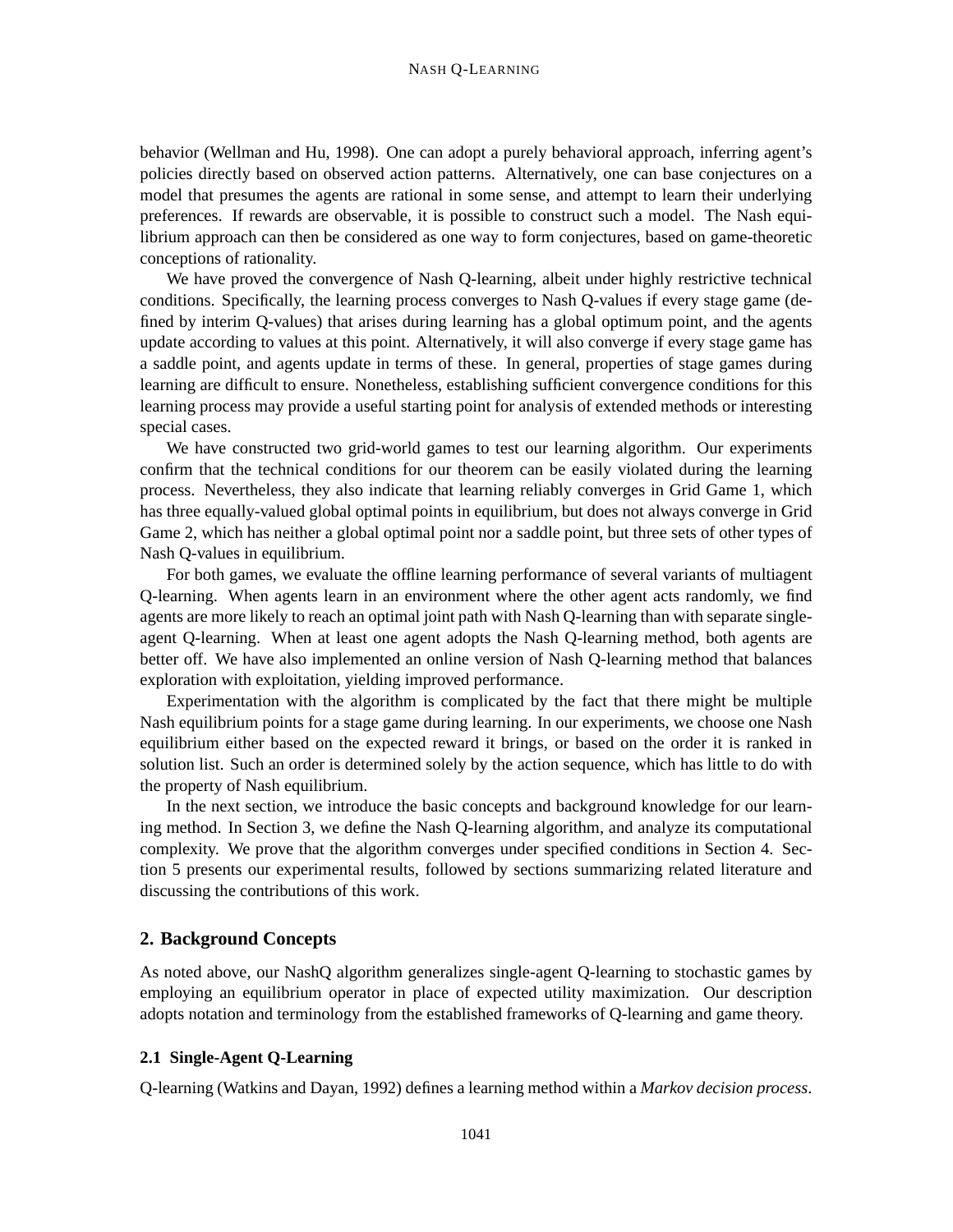behavior (Wellman and Hu, 1998). One can adopt a purely behavioral approach, inferring agent's policies directly based on observed action patterns. Alternatively, one can base conjectures on a model that presumes the agents are rational in some sense, and attempt to learn their underlying preferences. If rewards are observable, it is possible to construct such a model. The Nash equilibrium approach can then be considered as one way to form conjectures, based on game-theoretic conceptions of rationality.

We have proved the convergence of Nash Q-learning, albeit under highly restrictive technical conditions. Specifically, the learning process converges to Nash Q-values if every stage game (defined by interim Q-values) that arises during learning has a global optimum point, and the agents update according to values at this point. Alternatively, it will also converge if every stage game has a saddle point, and agents update in terms of these. In general, properties of stage games during learning are difficult to ensure. Nonetheless, establishing sufficient convergence conditions for this learning process may provide a useful starting point for analysis of extended methods or interesting special cases.

We have constructed two grid-world games to test our learning algorithm. Our experiments confirm that the technical conditions for our theorem can be easily violated during the learning process. Nevertheless, they also indicate that learning reliably converges in Grid Game 1, which has three equally-valued global optimal points in equilibrium, but does not always converge in Grid Game 2, which has neither a global optimal point nor a saddle point, but three sets of other types of Nash Q-values in equilibrium.

For both games, we evaluate the offline learning performance of several variants of multiagent Q-learning. When agents learn in an environment where the other agent acts randomly, we find agents are more likely to reach an optimal joint path with Nash Q-learning than with separate singleagent Q-learning. When at least one agent adopts the Nash Q-learning method, both agents are better off. We have also implemented an online version of Nash Q-learning method that balances exploration with exploitation, yielding improved performance.

Experimentation with the algorithm is complicated by the fact that there might be multiple Nash equilibrium points for a stage game during learning. In our experiments, we choose one Nash equilibrium either based on the expected reward it brings, or based on the order it is ranked in solution list. Such an order is determined solely by the action sequence, which has little to do with the property of Nash equilibrium.

In the next section, we introduce the basic concepts and background knowledge for our learning method. In Section 3, we define the Nash Q-learning algorithm, and analyze its computational complexity. We prove that the algorithm converges under specified conditions in Section 4. Section 5 presents our experimental results, followed by sections summarizing related literature and discussing the contributions of this work.

## **2. Background Concepts**

As noted above, our NashQ algorithm generalizes single-agent Q-learning to stochastic games by employing an equilibrium operator in place of expected utility maximization. Our description adopts notation and terminology from the established frameworks of Q-learning and game theory.

## **2.1 Single-Agent Q-Learning**

Q-learning (Watkins and Dayan, 1992) defines a learning method within a *Markov decision process*.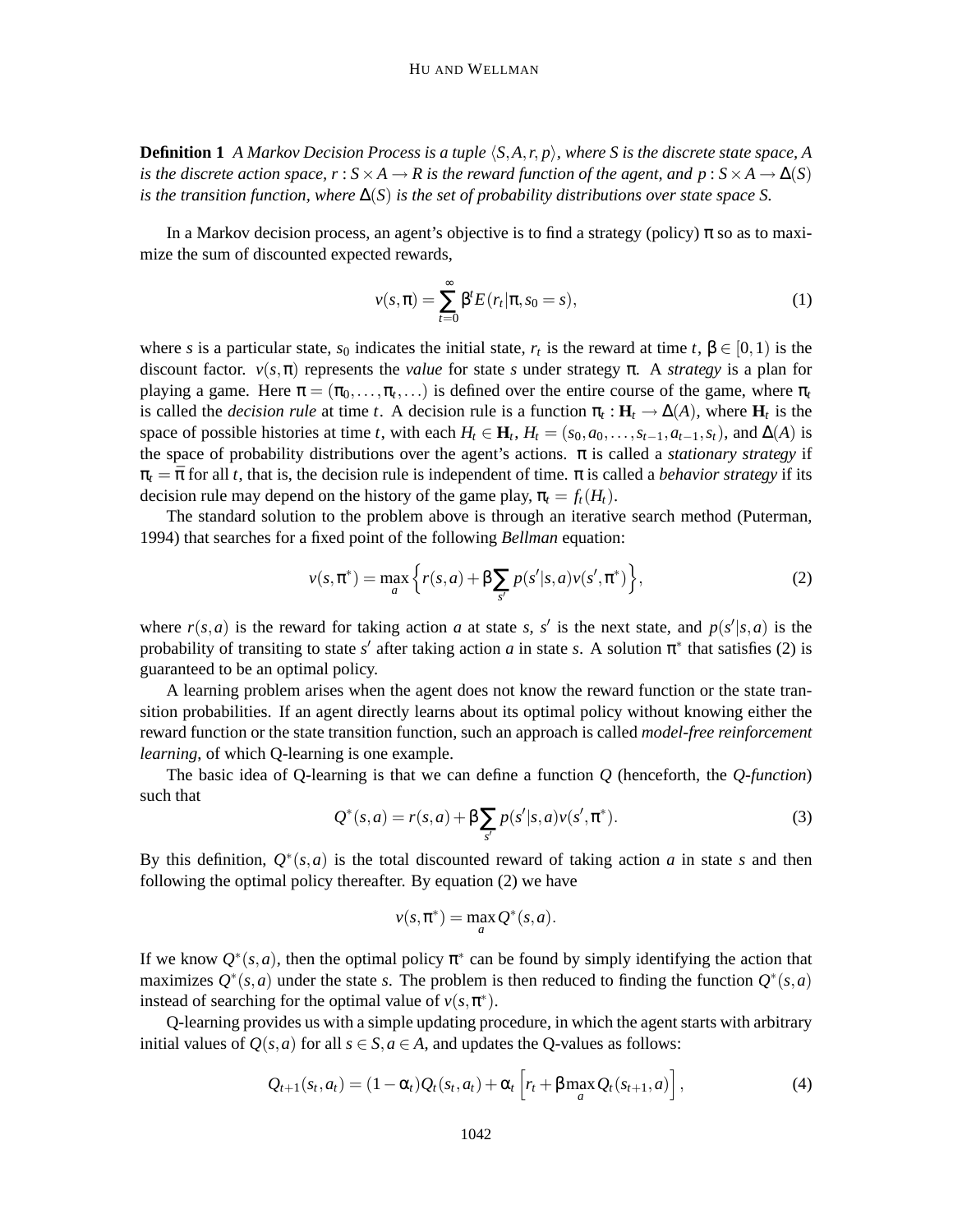**Definition 1** *A Markov Decision Process is a tuple*  $\langle S, A, r, p \rangle$ *, where S is the discrete state space, A is the discrete action space, r* :  $S \times A \rightarrow R$  *is the reward function of the agent, and p* :  $S \times A \rightarrow \Delta(S)$ *is the transition function, where*  $\Delta(S)$  *is the set of probability distributions over state space* S.

In a Markov decision process, an agent's objective is to find a strategy (policy)  $\pi$  so as to maximize the sum of discounted expected rewards,

$$
v(s,\pi) = \sum_{t=0}^{\infty} \beta^t E(r_t|\pi, s_0 = s), \qquad (1)
$$

where *s* is a particular state,  $s_0$  indicates the initial state,  $r_t$  is the reward at time  $t, \beta \in [0,1)$  is the discount factor.  $v(s, \pi)$  represents the *value* for state *s* under strategy  $\pi$ . A *strategy* is a plan for playing a game. Here  $\pi = (\pi_0, \ldots, \pi_t, \ldots)$  is defined over the entire course of the game, where  $\pi_t$ is called the *decision rule* at time *t*. A decision rule is a function  $\pi$ <sub>*t*</sub> :  $H$ <sub>*t*</sub>  $\rightarrow \Delta(A)$ , where  $H$ <sub>*t*</sub> is the space of possible histories at time *t*, with each  $H_t \in \mathbf{H}_t$ ,  $H_t = (s_0, a_0, \ldots, s_{t-1}, a_{t-1}, s_t)$ , and  $\Delta(A)$  is the space of probability distributions over the agent's actions.  $\pi$  is called a *stationary strategy* if  $\pi_t = \bar{\pi}$  for all *t*, that is, the decision rule is independent of time.  $\pi$  is called a *behavior strategy* if its decision rule may depend on the history of the game play,  $\pi_t = f_t(H_t)$ .

The standard solution to the problem above is through an iterative search method (Puterman, 1994) that searches for a fixed point of the following *Bellman* equation:

$$
v(s,\pi^*) = \max_{a} \left\{ r(s,a) + \beta \sum_{s'} p(s'|s,a) v(s',\pi^*) \right\},\tag{2}
$$

where  $r(s, a)$  is the reward for taking action *a* at state *s*, *s'* is the next state, and  $p(s'|s, a)$  is the probability of transiting to state *s'* after taking action *a* in state *s*. A solution  $\pi^*$  that satisfies (2) is guaranteed to be an optimal policy.

A learning problem arises when the agent does not know the reward function or the state transition probabilities. If an agent directly learns about its optimal policy without knowing either the reward function or the state transition function, such an approach is called *model-free reinforcement learning*, of which Q-learning is one example.

The basic idea of Q-learning is that we can define a function *Q* (henceforth, the *Q-function*) such that

$$
Q^*(s, a) = r(s, a) + \beta \sum_{s'} p(s'|s, a) v(s', \pi^*).
$$
 (3)

By this definition,  $Q^*(s, a)$  is the total discounted reward of taking action *a* in state *s* and then following the optimal policy thereafter. By equation (2) we have

$$
v(s,\pi^*) = \max_a Q^*(s,a).
$$

If we know  $Q^*(s, a)$ , then the optimal policy  $\pi^*$  can be found by simply identifying the action that maximizes  $Q^*(s, a)$  under the state *s*. The problem is then reduced to finding the function  $Q^*(s, a)$ instead of searching for the optimal value of  $v(s, \pi^*)$ .

Q-learning provides us with a simple updating procedure, in which the agent starts with arbitrary initial values of  $Q(s, a)$  for all  $s \in S, a \in A$ , and updates the Q-values as follows:

$$
Q_{t+1}(s_t, a_t) = (1 - \alpha_t)Q_t(s_t, a_t) + \alpha_t \left[r_t + \beta \max_a Q_t(s_{t+1}, a)\right],
$$
\n(4)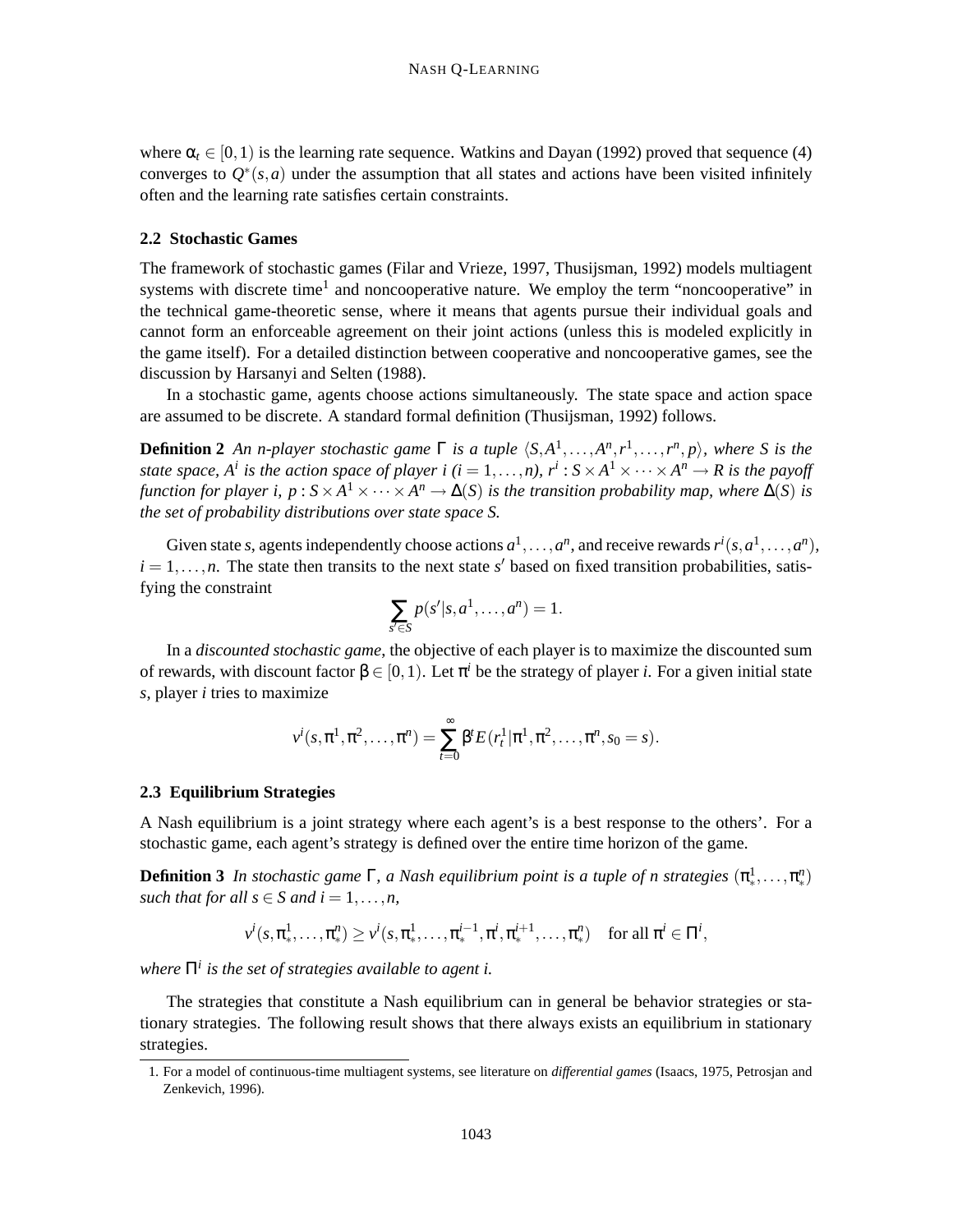where  $\alpha_t \in [0,1)$  is the learning rate sequence. Watkins and Dayan (1992) proved that sequence (4) converges to  $Q^*(s, a)$  under the assumption that all states and actions have been visited infinitely often and the learning rate satisfies certain constraints.

## **2.2 Stochastic Games**

The framework of stochastic games (Filar and Vrieze, 1997, Thusijsman, 1992) models multiagent systems with discrete time<sup>1</sup> and noncooperative nature. We employ the term "noncooperative" in the technical game-theoretic sense, where it means that agents pursue their individual goals and cannot form an enforceable agreement on their joint actions (unless this is modeled explicitly in the game itself). For a detailed distinction between cooperative and noncooperative games, see the discussion by Harsanyi and Selten (1988).

In a stochastic game, agents choose actions simultaneously. The state space and action space are assumed to be discrete. A standard formal definition (Thusijsman, 1992) follows.

**Definition 2** An n-player stochastic game  $\Gamma$  is a tuple  $\langle S, A^1, \ldots, A^n, r^1, \ldots, r^n, p \rangle$ , where S is the *state space,*  $A^i$  *is the action space of player i*  $(i = 1, ..., n)$ ,  $r^i : S \times A^1 \times \cdots \times A^n \rightarrow R$  *is the payoff function for player i, p* :  $S \times A^1 \times \cdots \times A^n \to \Delta(S)$  *is the transition probability map, where*  $\Delta(S)$  *is the set of probability distributions over state space S.*

Given state *s*, agents independently choose actions  $a^1, \ldots, a^n$ , and receive rewards  $r^i(s, a^1, \ldots, a^n)$ ,  $i = 1, \ldots, n$ . The state then transits to the next state *s'* based on fixed transition probabilities, satisfying the constraint

$$
\sum_{s' \in S} p(s'|s, a^1, \dots, a^n) = 1.
$$

In a *discounted stochastic game*, the objective of each player is to maximize the discounted sum of rewards, with discount factor  $\beta \in [0,1)$ . Let  $\pi^{i}$  be the strategy of player *i*. For a given initial state *s*, player *i* tries to maximize

$$
v^{i}(s,\pi^{1},\pi^{2},\ldots,\pi^{n}) = \sum_{t=0}^{\infty} \beta^{t} E(r_{t}^{1}|\pi^{1},\pi^{2},\ldots,\pi^{n},s_{0}=s).
$$

#### **2.3 Equilibrium Strategies**

A Nash equilibrium is a joint strategy where each agent's is a best response to the others'. For a stochastic game, each agent's strategy is defined over the entire time horizon of the game.

**Definition 3** *In stochastic game*  $\Gamma$ , a *Nash equilibrium point is a tuple of n strategies*  $(\pi^1_*, \ldots, \pi^n_*)$ *such that for all*  $s \in S$  *and*  $i = 1, \ldots, n$ ,

$$
v^i(s,\pi^1_*,\ldots,\pi^n_*)\geq v^i(s,\pi^1_*,\ldots,\pi^{i-1}_*,\pi^i,\pi^{i+1}_*,\ldots,\pi^n_*)\quad\text{for all }\pi^i\in\Pi^i,
$$

*where* Π*<sup>i</sup> is the set of strategies available to agent i.*

The strategies that constitute a Nash equilibrium can in general be behavior strategies or stationary strategies. The following result shows that there always exists an equilibrium in stationary strategies.

<sup>1.</sup> For a model of continuous-time multiagent systems, see literature on *differential games* (Isaacs, 1975, Petrosjan and Zenkevich, 1996).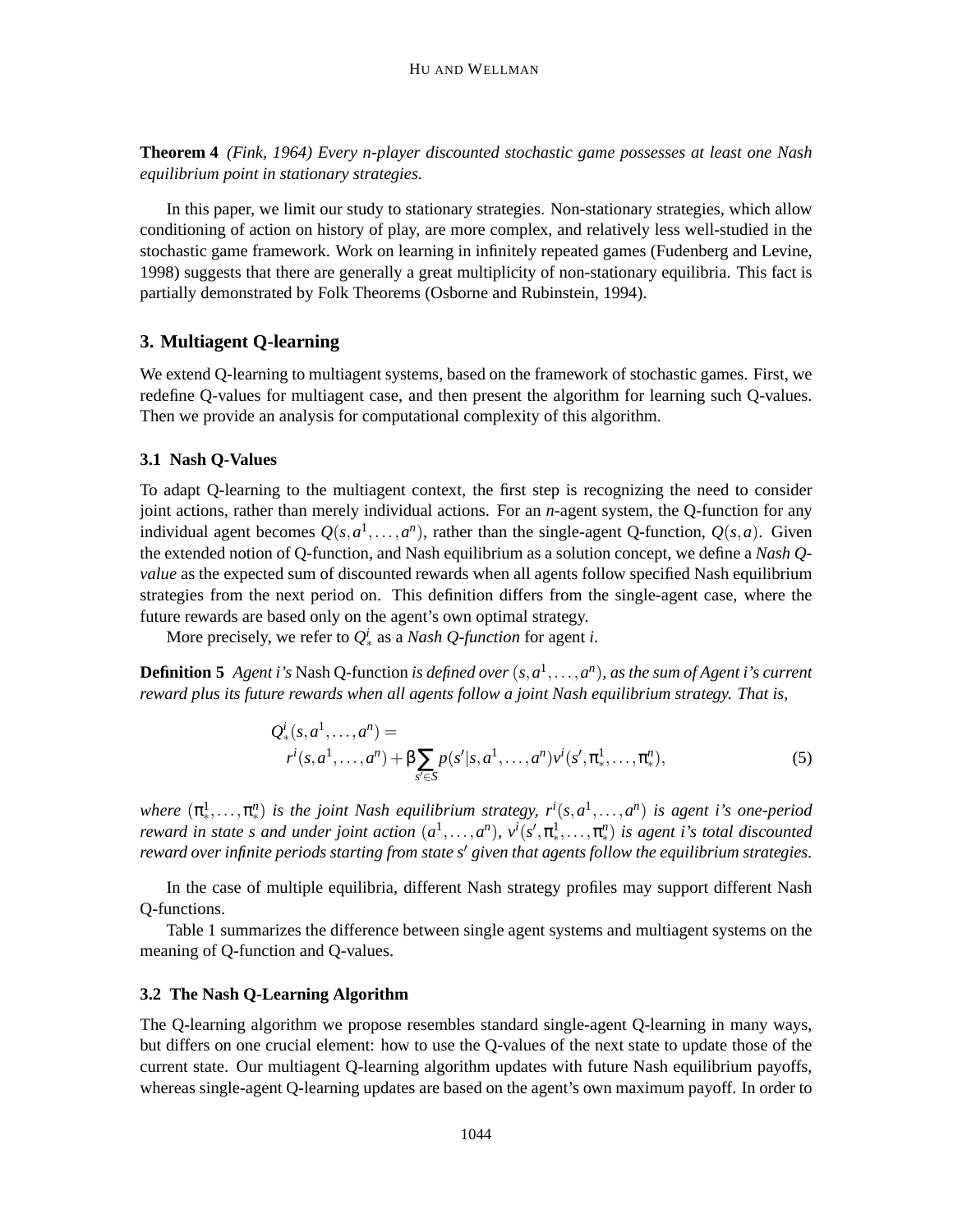**Theorem 4** *(Fink, 1964) Every n-player discounted stochastic game possesses at least one Nash equilibrium point in stationary strategies.*

In this paper, we limit our study to stationary strategies. Non-stationary strategies, which allow conditioning of action on history of play, are more complex, and relatively less well-studied in the stochastic game framework. Work on learning in infinitely repeated games (Fudenberg and Levine, 1998) suggests that there are generally a great multiplicity of non-stationary equilibria. This fact is partially demonstrated by Folk Theorems (Osborne and Rubinstein, 1994).

# **3. Multiagent Q-learning**

We extend Q-learning to multiagent systems, based on the framework of stochastic games. First, we redefine Q-values for multiagent case, and then present the algorithm for learning such Q-values. Then we provide an analysis for computational complexity of this algorithm.

## **3.1 Nash Q-Values**

To adapt Q-learning to the multiagent context, the first step is recognizing the need to consider joint actions, rather than merely individual actions. For an *n*-agent system, the Q-function for any individual agent becomes  $O(s, a^1, \ldots, a^n)$ , rather than the single-agent Q-function,  $O(s, a)$ . Given the extended notion of Q-function, and Nash equilibrium as a solution concept, we define a *Nash Qvalue* as the expected sum of discounted rewards when all agents follow specified Nash equilibrium strategies from the next period on. This definition differs from the single-agent case, where the future rewards are based only on the agent's own optimal strategy.

More precisely, we refer to *Qi* <sup>∗</sup> as a *Nash Q-function* for agent *i*.

**Definition 5** *Agent i's* Nash Q-function *is defined over*  $(s, a^1, \ldots, a^n)$ *, as the sum of Agent i's current reward plus its future rewards when all agents follow a joint Nash equilibrium strategy. That is,*

$$
Q_{*}^{i}(s, a^{1}, \dots, a^{n}) =
$$
  

$$
r^{i}(s, a^{1}, \dots, a^{n}) + \beta \sum_{s' \in S} p(s'|s, a^{1}, \dots, a^{n}) v^{i}(s', \pi_{*}^{1}, \dots, \pi_{*}^{n}),
$$
 (5)

*where*  $(\pi^1_*, \ldots, \pi^n_*)$  *is the joint Nash equilibrium strategy,*  $r^i(s, a^1, \ldots, a^n)$  *is agent i's one-period reward in state s and under joint action*  $(a^1, \ldots, a^n)$ ,  $v^i(s', \pi^1_*, \ldots, \pi^n_*)$  *is agent i's total discounted reward over infinite periods starting from state s' given that agents follow the equilibrium strategies.* 

In the case of multiple equilibria, different Nash strategy profiles may support different Nash Q-functions.

Table 1 summarizes the difference between single agent systems and multiagent systems on the meaning of Q-function and Q-values.

## **3.2 The Nash Q-Learning Algorithm**

The Q-learning algorithm we propose resembles standard single-agent Q-learning in many ways, but differs on one crucial element: how to use the Q-values of the next state to update those of the current state. Our multiagent Q-learning algorithm updates with future Nash equilibrium payoffs, whereas single-agent Q-learning updates are based on the agent's own maximum payoff. In order to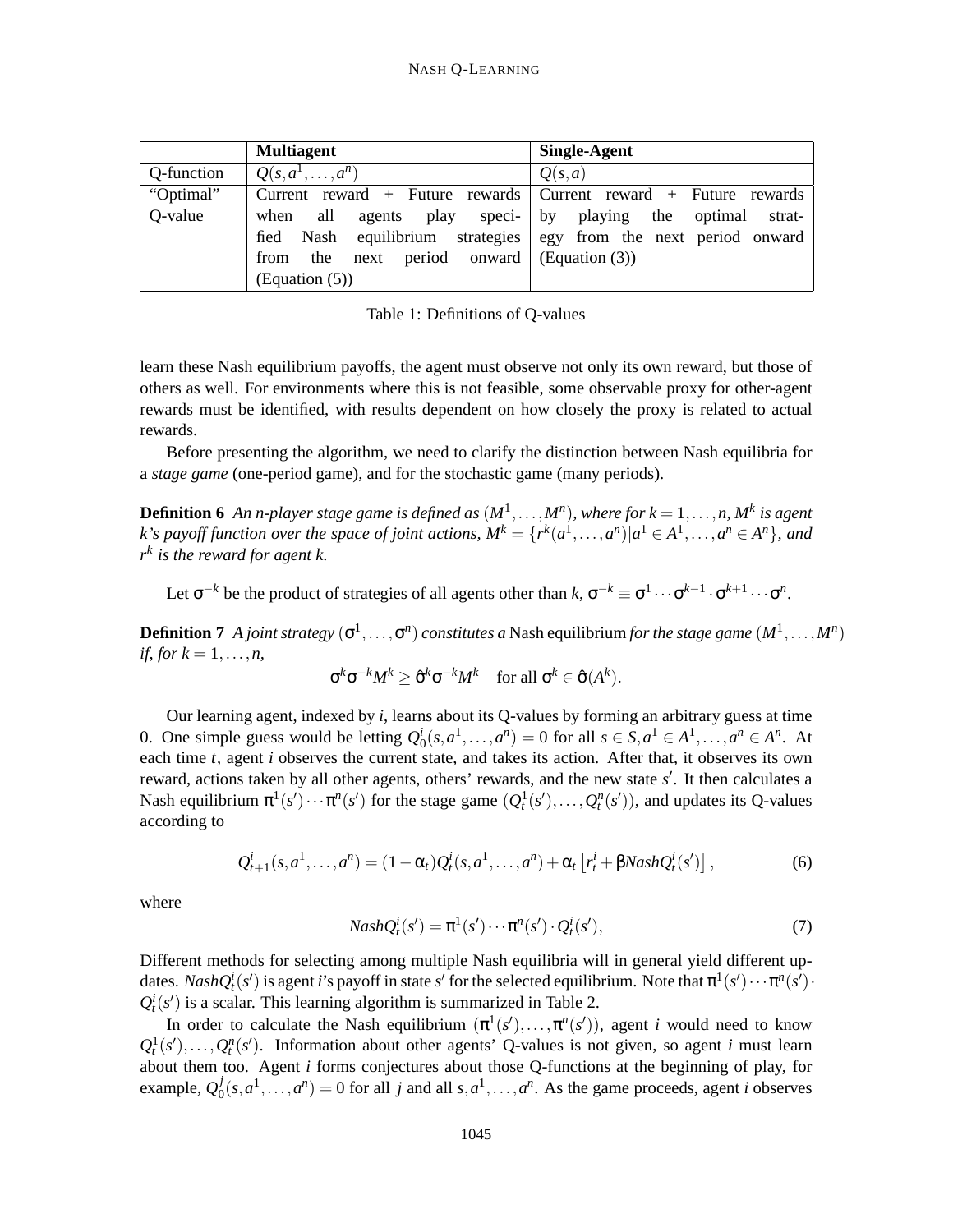|            | <b>Multiagent</b>                          | Single-Agent                                                     |
|------------|--------------------------------------------|------------------------------------------------------------------|
| Q-function | $Q(s,a^1,\ldots,a^n)$                      | Q(s,a)                                                           |
| "Optimal"  |                                            | Current reward + Future rewards Current reward + Future rewards  |
| Q-value    |                                            | when all agents play speci- by playing the optimal strat-        |
|            |                                            | fied Nash equilibrium strategies egy from the next period onward |
|            | from the next period onward (Equation (3)) |                                                                  |
|            | $\left($ Equation $\left($ 5 $\right)$ )   |                                                                  |

Table 1: Definitions of Q-values

learn these Nash equilibrium payoffs, the agent must observe not only its own reward, but those of others as well. For environments where this is not feasible, some observable proxy for other-agent rewards must be identified, with results dependent on how closely the proxy is related to actual rewards.

Before presenting the algorithm, we need to clarify the distinction between Nash equilibria for a *stage game* (one-period game), and for the stochastic game (many periods).

**Definition 6** An n-player stage game is defined as  $(M^1, \ldots, M^n)$ , where for  $k = 1, \ldots, n$ ,  $M^k$  is agent *k*'s payoff function over the space of joint actions,  $M^k = \{r^k(a^1, \ldots, a^n) | a^1 \in A^1, \ldots, a^n \in A^n\}$ , and *r<sup>k</sup> is the reward for agent k.*

Let  $\sigma^{-k}$  be the product of strategies of all agents other than  $k, \sigma^{-k} \equiv \sigma^1 \cdots \sigma^{k-1} \cdot \sigma^{k+1} \cdots \sigma^n$ .

**Definition 7** *A joint strategy*  $(\sigma^1, \ldots, \sigma^n)$  *constitutes a* Nash equilibrium *for the stage game*  $(M^1, \ldots, M^n)$ *if, for*  $k = 1, ..., n$ ,

$$
\sigma^k \sigma^{-k} M^k \geq \hat{\sigma}^k \sigma^{-k} M^k \quad \text{for all } \sigma^k \in \hat{\sigma}(A^k).
$$

Our learning agent, indexed by *i*, learns about its Q-values by forming an arbitrary guess at time 0. One simple guess would be letting  $Q_0^i(s, a^1, \ldots, a^n) = 0$  for all  $s \in S, a^1 \in A^1, \ldots, a^n \in A^n$ . At each time *t*, agent *i* observes the current state, and takes its action. After that, it observes its own reward, actions taken by all other agents, others' rewards, and the new state s'. It then calculates a Nash equilibrium  $\pi^1(s') \cdots \pi^n(s')$  for the stage game  $(Q_t^1(s'), \ldots, Q_t^n(s'))$ , and updates its Q-values according to

$$
Q_{t+1}^i(s, a^1, \dots, a^n) = (1 - \alpha_t) Q_t^i(s, a^1, \dots, a^n) + \alpha_t \left[ r_t^i + \beta Nash Q_t^i(s') \right],
$$
 (6)

where

$$
NashQ_t^i(s') = \pi^1(s') \cdots \pi^n(s') \cdot Q_t^i(s'),\tag{7}
$$

Different methods for selecting among multiple Nash equilibria will in general yield different updates. *NashQ<sup>i</sup>*(*s'*) is agent *i*'s payoff in state *s'* for the selected equilibrium. Note that  $\pi^1(s') \cdots \pi^n(s')$  $Q_t^i$ (s') is a scalar. This learning algorithm is summarized in Table 2.

In order to calculate the Nash equilibrium  $(\pi^1(s'),...,\pi^n(s'))$ , agent *i* would need to know  $Q_t^1(s')$ ,..., $Q_t^n(s')$ . Information about other agents' Q-values is not given, so agent *i* must learn about them too. Agent *i* forms conjectures about those Q-functions at the beginning of play, for example,  $Q_0^j(s, a^1, \ldots, a^n) = 0$  for all *j* and all  $s, a^1, \ldots, a^n$ . As the game proceeds, agent *i* observes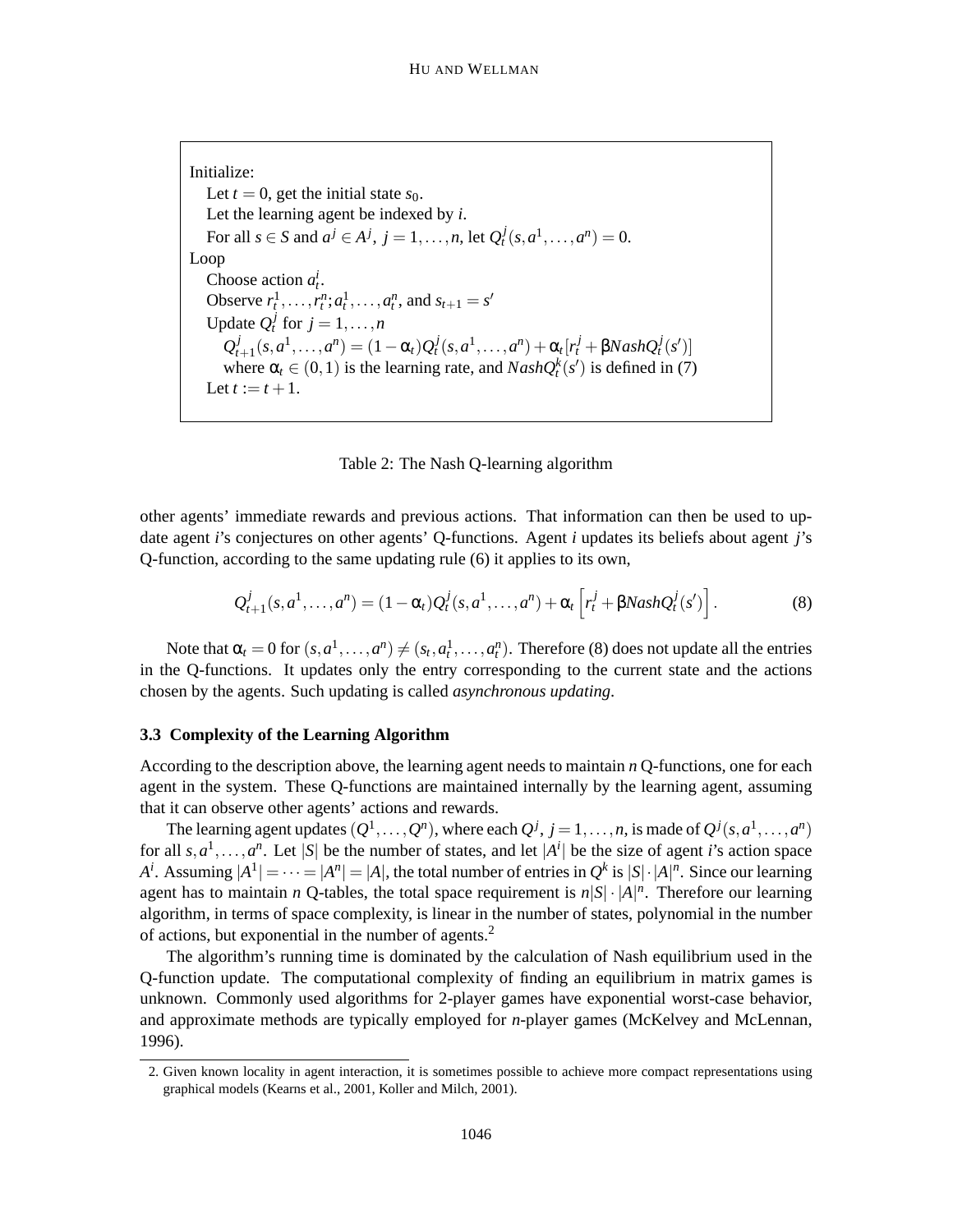Initialize: Let  $t = 0$ , get the initial state  $s_0$ . Let the learning agent be indexed by *i*. For all  $s \in S$  and  $a^j \in A^j$ ,  $j = 1, ..., n$ , let  $Q_t^j(s, a^1, ..., a^n) = 0$ . Loop Choose action  $a_t^i$ . Observe  $r_t^1, \ldots, r_t^n; a_t^1, \ldots, a_t^n$ , and  $s_{t+1} = s'$ Update  $Q_t^j$  for  $j = 1, ..., n$  $Q_{t+1}^j(s, a^1, \ldots, a^n) = (1 - \alpha_t)Q_t^j(s, a^1, \ldots, a^n) + \alpha_t[r_t^j + \beta NashQ_t^j(s')]$ where  $\alpha_t \in (0,1)$  is the learning rate, and  $NashQ_t^k(s')$  is defined in (7) Let  $t := t + 1$ .



other agents' immediate rewards and previous actions. That information can then be used to update agent *i*'s conjectures on other agents' Q-functions. Agent *i* updates its beliefs about agent *j*'s Q-function, according to the same updating rule (6) it applies to its own,

$$
Q_{t+1}^j(s, a^1, \dots, a^n) = (1 - \alpha_t) Q_t^j(s, a^1, \dots, a^n) + \alpha_t \left[ r_t^j + \beta Nash Q_t^j(s') \right].
$$
 (8)

Note that  $\alpha_t = 0$  for  $(s, a^1, \ldots, a^n) \neq (s_t, a^1_t, \ldots, a^n_t)$ . Therefore (8) does not update all the entries in the Q-functions. It updates only the entry corresponding to the current state and the actions chosen by the agents. Such updating is called *asynchronous updating*.

## **3.3 Complexity of the Learning Algorithm**

According to the description above, the learning agent needs to maintain *n* Q-functions, one for each agent in the system. These Q-functions are maintained internally by the learning agent, assuming that it can observe other agents' actions and rewards.

The learning agent updates  $(Q^1, \ldots, Q^n)$ , where each  $Q^j$ ,  $j = 1, \ldots, n$ , is made of  $Q^j(s, a^1, \ldots, a^n)$ for all  $s, a^1, \ldots, a^n$ . Let |S| be the number of states, and let  $|A^i|$  be the size of agent *i*'s action space *A*<sup>*i*</sup>. Assuming  $|A^1| = \cdots = |A^n| = |A|$ , the total number of entries in  $Q^k$  is  $|S| \cdot |A|^n$ . Since our learning agent has to maintain *n* Q-tables, the total space requirement is  $n|S| \cdot |A|^n$ . Therefore our learning algorithm, in terms of space complexity, is linear in the number of states, polynomial in the number of actions, but exponential in the number of agents.2

The algorithm's running time is dominated by the calculation of Nash equilibrium used in the Q-function update. The computational complexity of finding an equilibrium in matrix games is unknown. Commonly used algorithms for 2-player games have exponential worst-case behavior, and approximate methods are typically employed for *n*-player games (McKelvey and McLennan, 1996).

<sup>2.</sup> Given known locality in agent interaction, it is sometimes possible to achieve more compact representations using graphical models (Kearns et al., 2001, Koller and Milch, 2001).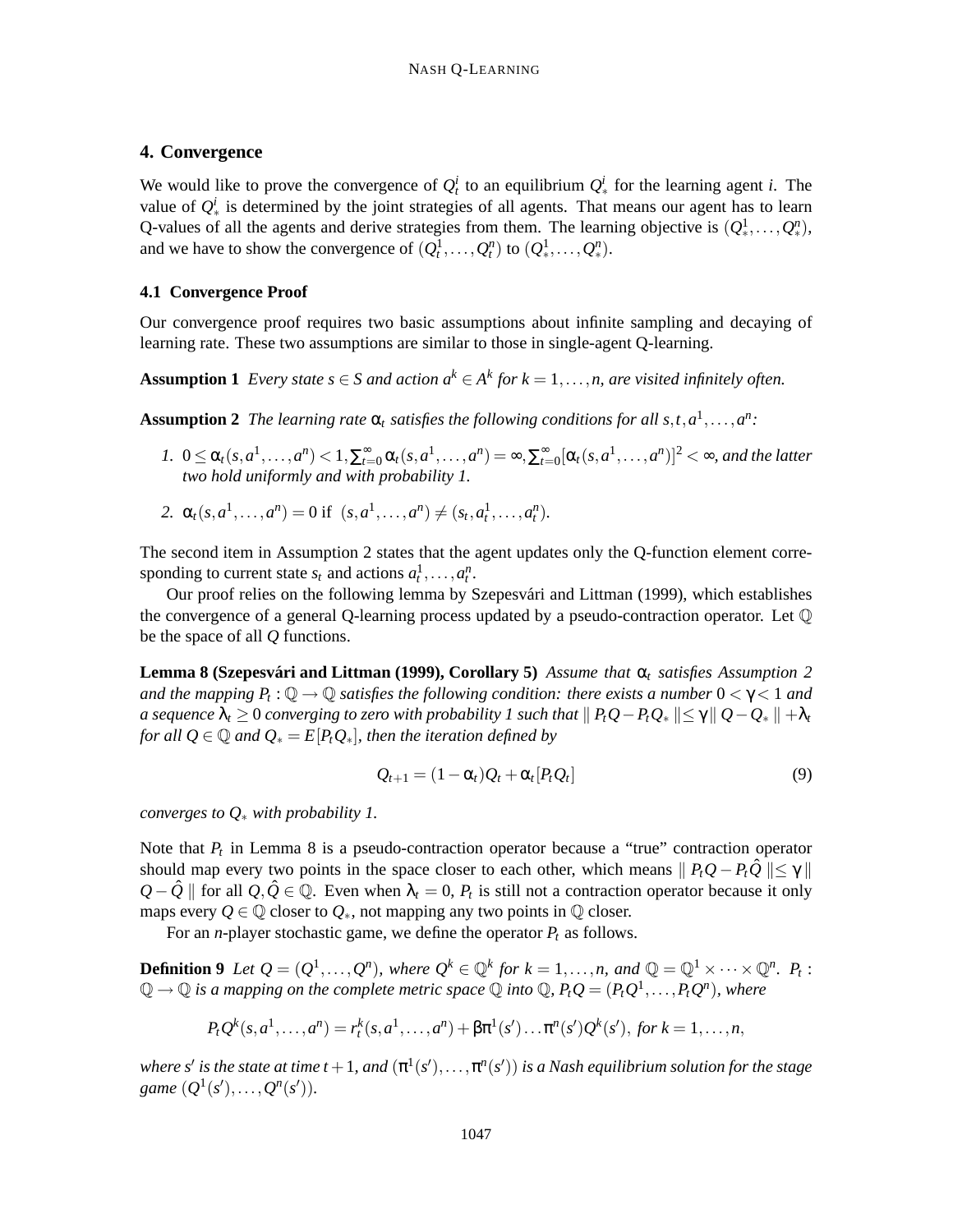# **4. Convergence**

We would like to prove the convergence of  $Q_t^i$  to an equilibrium  $Q_*^i$  for the learning agent *i*. The value of  $Q_*^i$  is determined by the joint strategies of all agents. That means our agent has to learn Q-values of all the agents and derive strategies from them. The learning objective is  $(Q^1_*,...,Q^n_*)$ , and we have to show the convergence of  $(Q_t^1, \ldots, Q_t^n)$  to  $(Q_*^1, \ldots, Q_*^n)$ .

## **4.1 Convergence Proof**

Our convergence proof requires two basic assumptions about infinite sampling and decaying of learning rate. These two assumptions are similar to those in single-agent Q-learning.

**Assumption 1** *Every state s*  $\in$  *S and action*  $a^k \in A^k$  *for*  $k = 1, ..., n$ *, are visited infinitely often.* 

**Assumption 2** *The learning rate*  $\alpha_t$  *satisfies the following conditions for all s,t,* $a^1, \ldots, a^n$ *:* 

- *1.*  $0 \le \alpha_t(s, a^1, \ldots, a^n) < 1, \sum_{t=0}^{\infty} \alpha_t(s, a^1, \ldots, a^n) = \infty, \sum_{t=0}^{\infty} [\alpha_t(s, a^1, \ldots, a^n)]^2 < \infty$ *, and the latter two hold uniformly and with probability 1.*
- *2.*  $\alpha_t(s, a^1, \ldots, a^n) = 0$  if  $(s, a^1, \ldots, a^n) \neq (s_t, a^1_t, \ldots, a^n_t)$ .

The second item in Assumption 2 states that the agent updates only the Q-function element corresponding to current state  $s_t$  and actions  $a_t^1, \ldots, a_t^n$ .

Our proof relies on the following lemma by Szepesvári and Littman (1999), which establishes the convergence of a general Q-learning process updated by a pseudo-contraction operator. Let  $\mathbb Q$ be the space of all *Q* functions.

**Lemma 8 (Szepesvári and Littman (1999), Corollary 5)** Assume that  $\alpha_t$  satisfies Assumption 2 *and the mapping*  $P_t: \mathbb{Q} \to \mathbb{Q}$  *satisfies the following condition: there exists a number*  $0 < \gamma < 1$  *and a* sequence  $\lambda_t \geq 0$  converging to zero with probability 1 such that  $\|P_tQ-P_tQ_*\| \leq \gamma \|Q-Q_*\| + \lambda_t$ *for all*  $Q \in \mathbb{Q}$  *and*  $Q_* = E[P_tQ_*]$ *, then the iteration defined by* 

$$
Q_{t+1} = (1 - \alpha_t)Q_t + \alpha_t [P_t Q_t]
$$
\n(9)

*converges to Q*<sup>∗</sup> *with probability 1.*

Note that  $P_t$  in Lemma 8 is a pseudo-contraction operator because a "true" contraction operator should map every two points in the space closer to each other, which means  $\|P_tQ - P_t\hat{Q}\| \leq \gamma \|$  $Q - \hat{Q}$  || for all  $Q, \hat{Q} \in \mathbb{Q}$ . Even when  $\lambda_t = 0$ ,  $P_t$  is still not a contraction operator because it only maps every  $Q \in \mathbb{Q}$  closer to  $Q_*,$  not mapping any two points in  $\mathbb{Q}$  closer.

For an *n*-player stochastic game, we define the operator  $P_t$  as follows.

**Definition 9** *Let*  $Q = (Q^1, \ldots, Q^n)$ *, where*  $Q^k \in \mathbb{Q}^k$  *for*  $k = 1, \ldots, n$ *, and*  $\mathbb{Q} = \mathbb{Q}^1 \times \cdots \times \mathbb{Q}^n$ *.*  $P_t$ :  $\mathbb{Q} \to \mathbb{Q}$  *is a mapping on the complete metric space*  $\mathbb{Q}$  *into*  $\mathbb{Q}$ *,*  $P_tQ = (P_tQ^1, \ldots, P_tQ^n)$ *, where* 

$$
P_t Q^k(s, a^1, \dots, a^n) = r_t^k(s, a^1, \dots, a^n) + \beta \pi^1(s') \dots \pi^n(s') Q^k(s'), \text{ for } k = 1, \dots, n,
$$

 $w$ here  $s'$  is the state at time  $t+1$ , and  $(\pi^1(s'),\ldots,\pi^n(s'))$  is a Nash equilibrium solution for the stage *game*  $(Q^{1}(s'), \ldots, Q^{n}(s'))$ *.*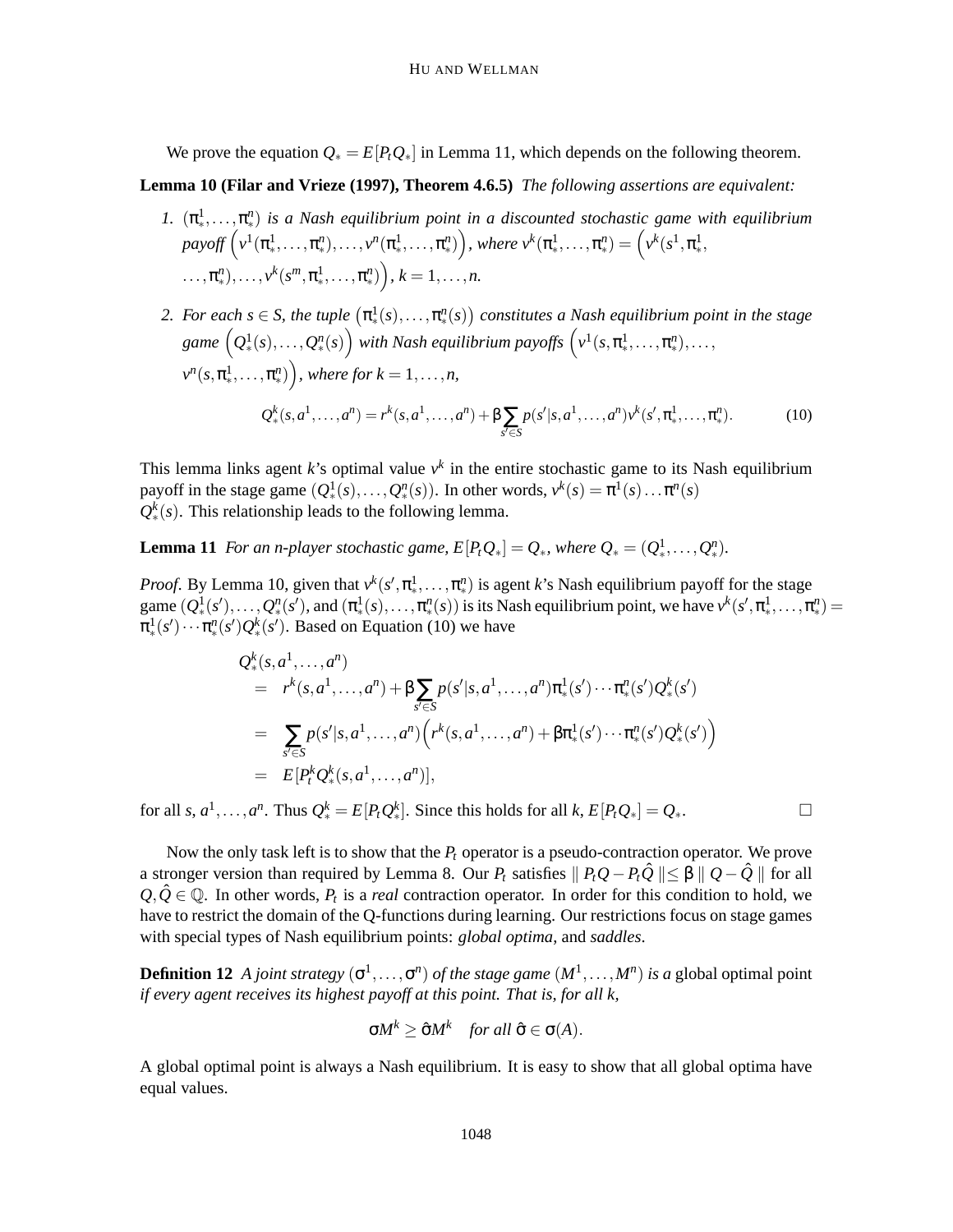We prove the equation  $Q_* = E[P_tQ_*]$  in Lemma 11, which depends on the following theorem.

**Lemma 10 (Filar and Vrieze (1997), Theorem 4.6.5)** *The following assertions are equivalent:*

- *1.* (π<sup>1</sup><sub>∗</sub>,...,π<sup>n</sup><sub>∗</sub>) *is a Nash equilibrium point in a discounted stochastic game with equilibrium*  $payoff\left(\nu^1(\pi^1_*,\ldots,\pi^n_*) ,\ldots,\nu^n(\pi^1_*,\ldots,\pi^n_* )\right)\!,\,where\,\, \nu^k(\pi^1_*,\ldots,\pi^n_*) = \left(\nu^k(s^1,\pi^1_*,\ldots,\pi^n_* )\right)$  $,...,\pi_{*}^{n}),...,v^{k}(s^{m},\pi_{*}^{1},\ldots,\pi_{*}^{n})$ ,  $k=1,...,n$ .
- 2. For each  $s \in S$ , the tuple  $(\pi^1_*(s), \ldots, \pi^n_*(s))$  constitutes a Nash equilibrium point in the stage  $\mathit{game}\,\left( Q_*^1(s),\ldots,Q_*^n(s)\right)$  with Nash equilibrium payoffs  $\left(\mathit{v}^1(s,\pi_*^1,\ldots,\pi_*^n),\ldots,\right.$  $v^n(s, \pi^1_*, \ldots, \pi^n_*)\Big)$ , where for  $k = 1, \ldots, n$ ,  $Q_*^k(s, a^1, \ldots, a^n) = r^k(s, a^1, \ldots, a^n) + \beta \sum_{s' \in S}$  $p(s'|s, a^1, \ldots, a^n)v^k(s', \pi^1_*, \ldots, \pi^n_*$  $(10)$

This lemma links agent *k*'s optimal value  $v^k$  in the entire stochastic game to its Nash equilibrium payoff in the stage game  $(Q^1_*(s),...,Q^n_*(s))$ . In other words,  $v^k(s) = \pi^1(s)... \pi^n(s)$  $Q_*^k(s)$ . This relationship leads to the following lemma.

**Lemma 11** *For an n-player stochastic game,*  $E[P_tQ_*] = Q_*$ *, where*  $Q_* = (Q_*^1, \ldots, Q_*^n)$ *.* 

*Proof.* By Lemma 10, given that  $v^k(s', \pi^1_*, \dots, \pi^n_k)$  is agent *k*'s Nash equilibrium payoff for the stage game  $(Q^1_*(s'), \ldots, Q^n_*(s'),$  and  $(\pi^1_*(s), \ldots, \pi^n_*(s))$  is its Nash equilibrium point, we have  $v^k(s', \pi^1_*, \ldots, \pi^n_*)$  $\pi^1_*(s') \cdots \pi^n_*(s') Q^k_*(s')$ . Based on Equation (10) we have

$$
Q_{*}^{k}(s, a^{1},..., a^{n})
$$
\n
$$
= r^{k}(s, a^{1},..., a^{n}) + \beta \sum_{s' \in S} p(s'|s, a^{1},..., a^{n}) \pi_{*}^{1}(s') \cdots \pi_{*}^{n}(s') Q_{*}^{k}(s')
$$
\n
$$
= \sum_{s' \in S} p(s'|s, a^{1},..., a^{n}) \Big( r^{k}(s, a^{1},..., a^{n}) + \beta \pi_{*}^{1}(s') \cdots \pi_{*}^{n}(s') Q_{*}^{k}(s') \Big)
$$
\n
$$
= E[P_{t}^{k} Q_{*}^{k}(s, a^{1},..., a^{n})],
$$

for all *s*,  $a^1, \ldots, a^n$ . Thus  $Q_*^k = E[P_tQ_*^k]$ . Since this holds for all  $k, E[P_tQ_*] = Q_*$ .

Now the only task left is to show that the *Pt* operator is a pseudo-contraction operator. We prove a stronger version than required by Lemma 8. Our *P<sub>t</sub>* satisfies  $||P_tQ - P_t\hat{Q}|| \le ||\hat{B}|| ||Q - \hat{Q}||$  for all  $Q, \hat{Q} \in \mathbb{Q}$ . In other words,  $P_t$  is a *real* contraction operator. In order for this condition to hold, we have to restrict the domain of the Q-functions during learning. Our restrictions focus on stage games with special types of Nash equilibrium points: *global optima*, and *saddles*.

**Definition 12** *A joint strategy*  $(\sigma^1, \ldots, \sigma^n)$  *of the stage game*  $(M^1, \ldots, M^n)$  *is a global optimal point if every agent receives its highest payoff at this point. That is, for all k,*

$$
\sigma M^k \geq \hat{\sigma} M^k \quad \text{for all } \hat{\sigma} \in \sigma(A).
$$

A global optimal point is always a Nash equilibrium. It is easy to show that all global optima have equal values.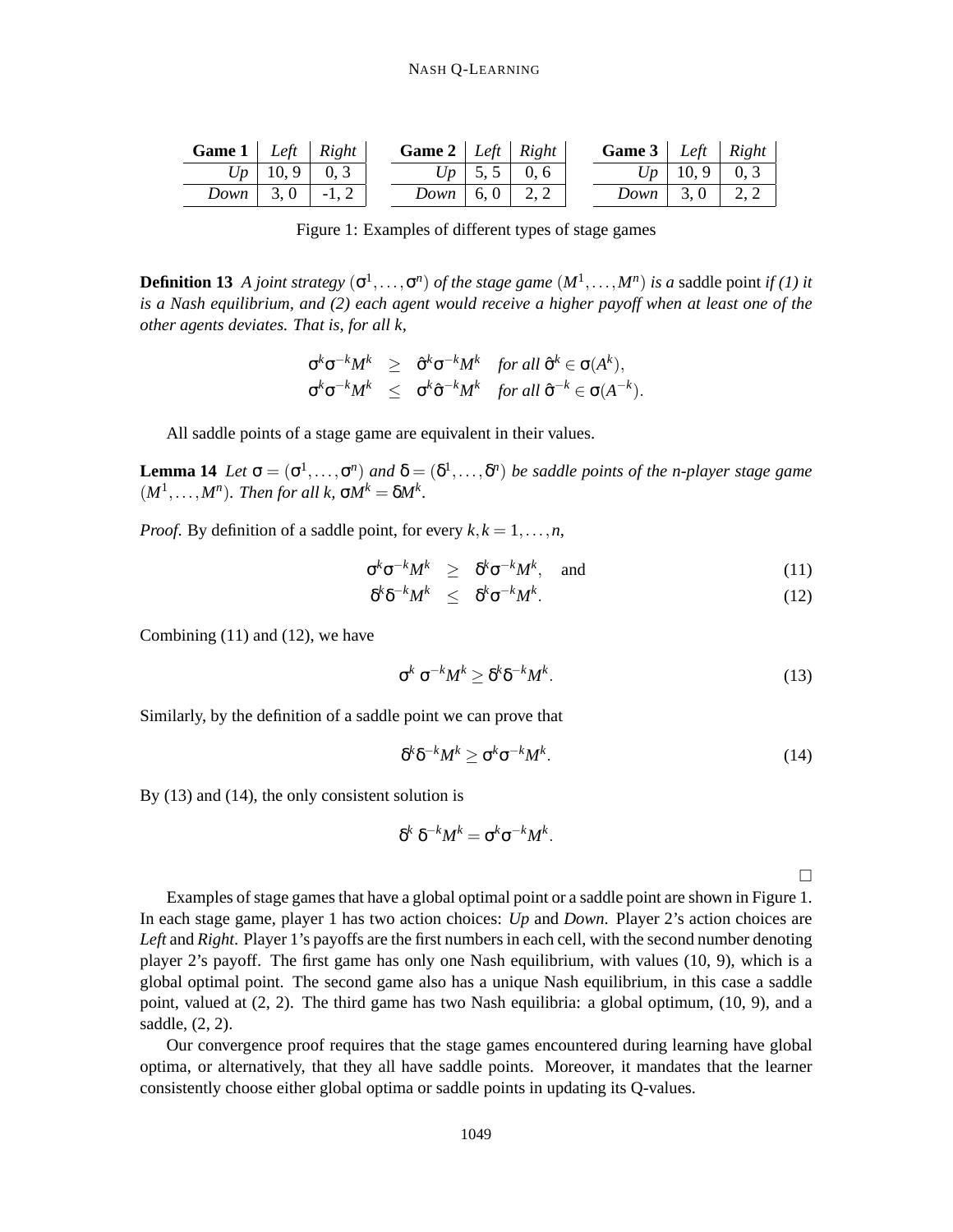| <b>Game 1</b> Left $\left $ Right |                   | <b>Game 2</b>   Left   Right |  | <b>Game 3</b> Left Right  |  |
|-----------------------------------|-------------------|------------------------------|--|---------------------------|--|
|                                   | Up   10, 9   0, 3 | $Up \, \, 5, 5 \, \, 0, 6$   |  | $Up \mid 10, 9 \mid 0, 3$ |  |
| <i>Down</i> $  3, 0   -1, 2  $    |                   | <i>Down</i>   6, 0   2, 2    |  | <i>Down</i> 3, 0 2, 2     |  |

Figure 1: Examples of different types of stage games

**Definition 13** *A joint strategy*  $(\sigma^1, \ldots, \sigma^n)$  *of the stage game*  $(M^1, \ldots, M^n)$  *is a* saddle point *if* (1) *it is a Nash equilibrium, and (2) each agent would receive a higher payoff when at least one of the other agents deviates. That is, for all k,*

$$
\begin{array}{rcl}\n\sigma^k\sigma^{-k}M^k & \geq & \hat{\sigma}^k\sigma^{-k}M^k \quad \text{for all } \hat{\sigma}^k \in \sigma(A^k), \\
\sigma^k\sigma^{-k}M^k & \leq & \sigma^k\hat{\sigma}^{-k}M^k \quad \text{for all } \hat{\sigma}^{-k} \in \sigma(A^{-k}).\n\end{array}
$$

All saddle points of a stage game are equivalent in their values.

**Lemma 14** *Let*  $\sigma = (\sigma^1, \ldots, \sigma^n)$  *and*  $\delta = (\delta^1, \ldots, \delta^n)$  *be saddle points of the n-player stage game*  $(M^1, \ldots, M^n)$ *. Then for all k,*  $\sigma M^k = \delta M^k$ *.* 

*Proof.* By definition of a saddle point, for every  $k, k = 1, \ldots, n$ ,

$$
\sigma^k \sigma^{-k} M^k \geq \delta^k \sigma^{-k} M^k, \quad \text{and} \tag{11}
$$

$$
\delta^k \delta^{-k} M^k \leq \delta^k \sigma^{-k} M^k. \tag{12}
$$

Combining (11) and (12), we have

$$
\sigma^k \sigma^{-k} M^k \ge \delta^k \delta^{-k} M^k. \tag{13}
$$

Similarly, by the definition of a saddle point we can prove that

$$
\delta^k \delta^{-k} M^k \ge \sigma^k \sigma^{-k} M^k. \tag{14}
$$

By (13) and (14), the only consistent solution is

$$
\delta^k \delta^{-k} M^k = \sigma^k \sigma^{-k} M^k.
$$

 $\Box$ 

Examples of stage games that have a global optimal point or a saddle point are shown in Figure 1. In each stage game, player 1 has two action choices: *Up* and *Down*. Player 2's action choices are *Left* and *Right*. Player 1's payoffs are the first numbers in each cell, with the second number denoting player 2's payoff. The first game has only one Nash equilibrium, with values (10, 9), which is a global optimal point. The second game also has a unique Nash equilibrium, in this case a saddle point, valued at (2, 2). The third game has two Nash equilibria: a global optimum, (10, 9), and a saddle, (2, 2).

Our convergence proof requires that the stage games encountered during learning have global optima, or alternatively, that they all have saddle points. Moreover, it mandates that the learner consistently choose either global optima or saddle points in updating its Q-values.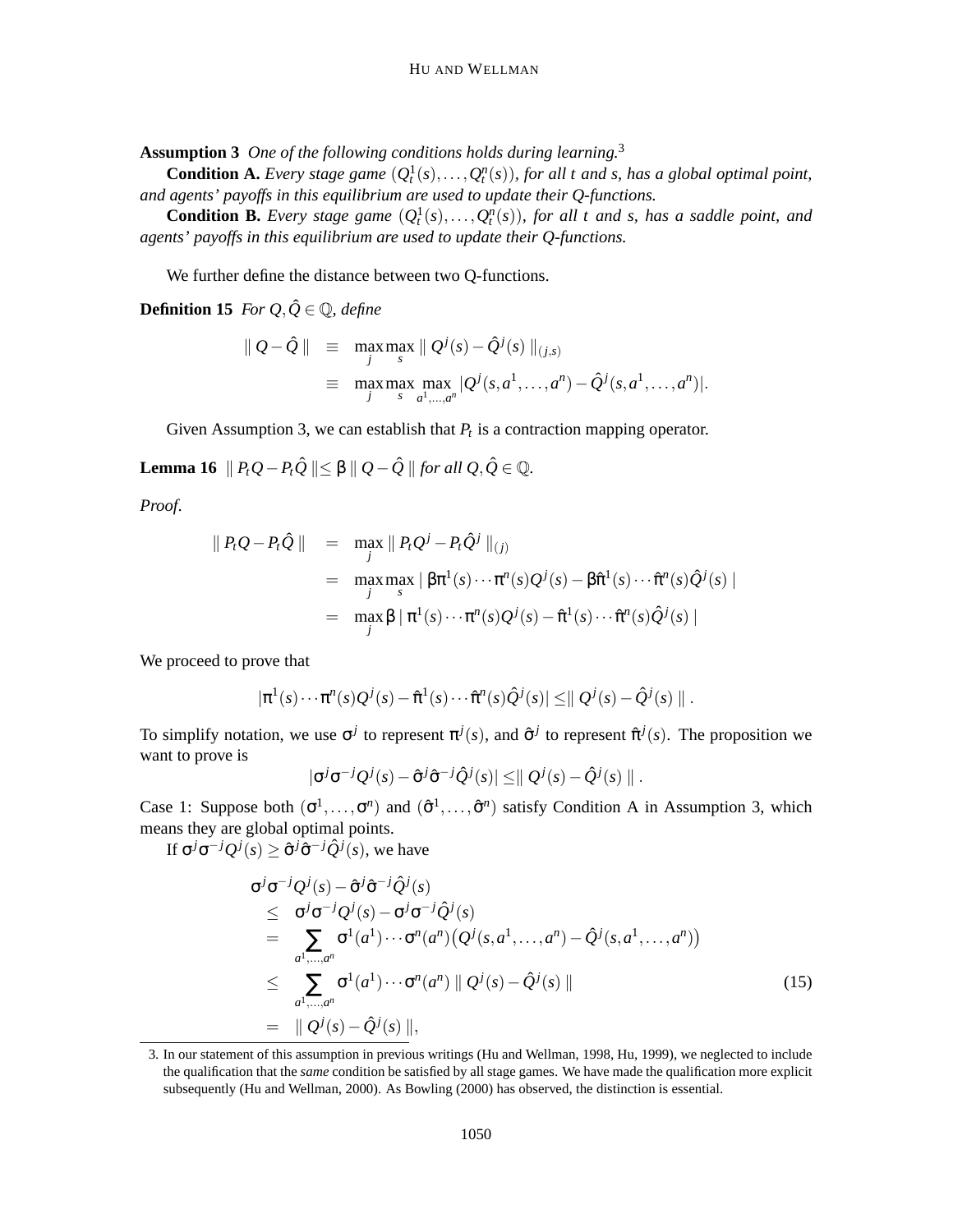**Assumption 3** *One of the following conditions holds during learning.*<sup>3</sup>

**Condition A.** *Every stage game*  $(Q_t^1(s),...,Q_t^n(s))$ *, for all t and s, has a global optimal point, and agents' payoffs in this equilibrium are used to update their Q-functions.*

**Condition B.** *Every stage game*  $(Q_t^1(s),...,Q_t^n(s))$ *, for all t and s, has a saddle point, and agents' payoffs in this equilibrium are used to update their Q-functions.*

We further define the distance between two Q-functions.

**Definition 15** *For*  $Q, \hat{Q} \in \mathbb{Q}$ *, define* 

$$
\| Q - \hat{Q} \| \equiv \max_{j} \max_{s} \| Q^{j}(s) - \hat{Q}^{j}(s) \|_{(j,s)}
$$
  

$$
\equiv \max_{j} \max_{s} \max_{a^{1}, \dots, a^{n}} |Q^{j}(s, a^{1}, \dots, a^{n}) - \hat{Q}^{j}(s, a^{1}, \dots, a^{n})|.
$$

Given Assumption 3, we can establish that  $P_t$  is a contraction mapping operator.

**Lemma 16**  $|| P_tQ - P_tQ|| ≤ β ∥ Q − Q||$  *for all*  $Q, Q ∈ Q$ *.* 

*Proof*.

$$
\| P_t Q - P_t \hat{Q} \| = \max_{j} \| P_t Q^j - P_t \hat{Q}^j \|_{(j)}
$$
  
= 
$$
\max_{j} \max_{s} |\beta \pi^1(s) \cdots \pi^n(s) Q^j(s) - \beta \hat{\pi}^1(s) \cdots \hat{\pi}^n(s) \hat{Q}^j(s) |
$$
  
= 
$$
\max_{j} \beta \| \pi^1(s) \cdots \pi^n(s) Q^j(s) - \hat{\pi}^1(s) \cdots \hat{\pi}^n(s) \hat{Q}^j(s) \|
$$

We proceed to prove that

$$
|\pi^1(s)\cdots\pi^n(s)Q^j(s)-\hat{\pi}^1(s)\cdots\hat{\pi}^n(s)\hat{Q}^j(s)|\leq ||Q^j(s)-\hat{Q}^j(s)||.
$$

To simplify notation, we use  $\sigma^j$  to represent  $\pi^j(s)$ , and  $\hat{\sigma}^j$  to represent  $\hat{\pi}^j(s)$ . The proposition we want to prove is

$$
|\sigma^j \sigma^{-j} Q^j(s) - \hat{\sigma}^j \hat{\sigma}^{-j} \hat{Q}^j(s)| \leq ||Q^j(s) - \hat{Q}^j(s)||.
$$

Case 1: Suppose both  $(\sigma^1, \ldots, \sigma^n)$  and  $(\hat{\sigma}^1, \ldots, \hat{\sigma}^n)$  satisfy Condition A in Assumption 3, which means they are global optimal points.

If  $σ<sup>j</sup>σ<sup>-j</sup>Q<sup>j</sup>(s) ≥ δ<sup>j</sup>ô<sup>-j</sup>Q̄<sup>j</sup>(s)$ , we have

$$
\sigma^{j}\sigma^{-j}Q^{j}(s) - \hat{\sigma}^{j}\hat{\sigma}^{-j}\hat{Q}^{j}(s)
$$
\n
$$
\leq \sigma^{j}\sigma^{-j}Q^{j}(s) - \sigma^{j}\sigma^{-j}\hat{Q}^{j}(s)
$$
\n
$$
= \sum_{a^{1}, \dots, a^{n}} \sigma^{1}(a^{1}) \cdots \sigma^{n}(a^{n}) (Q^{j}(s, a^{1}, \dots, a^{n}) - \hat{Q}^{j}(s, a^{1}, \dots, a^{n}))
$$
\n
$$
\leq \sum_{a^{1}, \dots, a^{n}} \sigma^{1}(a^{1}) \cdots \sigma^{n}(a^{n}) \| Q^{j}(s) - \hat{Q}^{j}(s) \|
$$
\n
$$
= \| Q^{j}(s) - \hat{Q}^{j}(s) \|,
$$
\n(15)

<sup>3.</sup> In our statement of this assumption in previous writings (Hu and Wellman, 1998, Hu, 1999), we neglected to include the qualification that the *same* condition be satisfied by all stage games. We have made the qualification more explicit subsequently (Hu and Wellman, 2000). As Bowling (2000) has observed, the distinction is essential.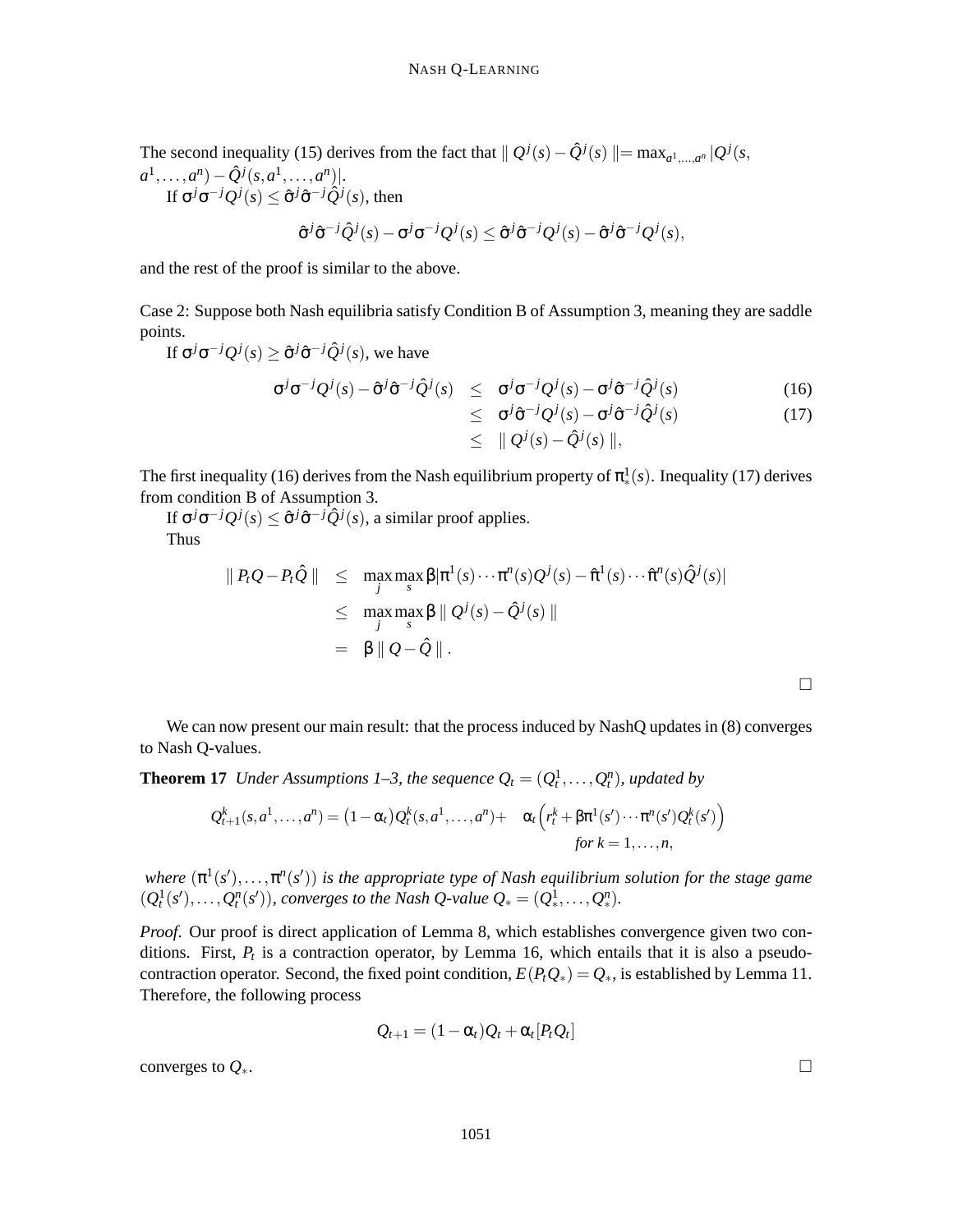The second inequality (15) derives from the fact that  $||Q^{j}(s) - \hat{Q}^{j}(s)|| = \max_{a^{1},...,a^{n}} |Q^{j}(s)|$  $a^1, \ldots, a^n) - \hat{Q}^j(s, a^1, \ldots, a^n)|.$ 

If  $\sigma$ <sup>*j*</sup> $\sigma$ <sup>−*j*</sup>*Q*<sup>*j*</sup>(*s*) ≤  $\hat{\sigma}$ <sup>*j*</sup> $\hat{\sigma}$ <sup>−*j*</sup>*Q*<sup>*j*</sup>(*s*), then

$$
\hat{\sigma}^j \hat{\sigma}^{-j} \hat{\mathcal{Q}}^j(s) - \sigma^j \sigma^{-j} \mathcal{Q}^j(s) \leq \hat{\sigma}^j \hat{\sigma}^{-j} \mathcal{Q}^j(s) - \hat{\sigma}^j \hat{\sigma}^{-j} \mathcal{Q}^j(s),
$$

and the rest of the proof is similar to the above.

Case 2: Suppose both Nash equilibria satisfy Condition B of Assumption 3, meaning they are saddle points.

If  $\sigma$ <sup>*j*</sup> $\sigma$ <sup>−*j*</sup>*Q<sup>j</sup>*(*s*) ≥  $\hat{\sigma}$ <sup>*j*</sup> $\hat{\sigma}$ <sup>−*j*</sup> $\hat{Q}$ <sup>*j*</sup>(*s*), we have

$$
\sigma^j \sigma^{-j} Q^j(s) - \hat{\sigma}^j \hat{\sigma}^{-j} \hat{Q}^j(s) \leq \sigma^j \sigma^{-j} Q^j(s) - \sigma^j \hat{\sigma}^{-j} \hat{Q}^j(s)
$$
(16)

$$
\leq \quad \sigma^j \hat{\sigma}^{-j} Q^j(s) - \sigma^j \hat{\sigma}^{-j} \hat{Q}^j(s) \tag{17}
$$
\n
$$
\leq \quad || Q^j(s) - \hat{Q}^j(s) ||,
$$

The first inequality (16) derives from the Nash equilibrium property of  $\pi^1_*(s)$ . Inequality (17) derives from condition B of Assumption 3.

If  $\sigma$ <sup>*j*</sup> $\sigma$ <sup>−*j*</sup>*Q*<sup>*j*</sup>(*s*) ≤  $\hat{\sigma}$ <sup>*j*</sup> $\hat{\sigma}$ <sup>−*j*</sup>*Q*<sup>*j*</sup>(*s*), a similar proof applies. Thus

$$
\| P_t Q - P_t \hat{Q} \| \leq \max_{j} \max_{s} \beta |\pi^1(s) \cdots \pi^n(s) Q^j(s) - \hat{\pi}^1(s) \cdots \hat{\pi}^n(s) \hat{Q}^j(s) |
$$
  

$$
\leq \max_{j} \max_{s} \beta \| Q^j(s) - \hat{Q}^j(s) \|
$$
  

$$
= \beta \| Q - \hat{Q} \|.
$$

We can now present our main result: that the process induced by NashQ updates in  $(8)$  converges to Nash Q-values.

**Theorem 17** *Under Assumptions 1–3, the sequence*  $Q_t = (Q_t^1, \ldots, Q_t^n)$ *, updated by* 

$$
Q_{t+1}^k(s, a^1, \dots, a^n) = (1 - \alpha_t) Q_t^k(s, a^1, \dots, a^n) + \alpha_t \left( r_t^k + \beta \pi^1(s') \cdots \pi^n(s') Q_t^k(s') \right)
$$
  
for  $k = 1, \dots, n$ ,

where  $(\pi^1(s'), \ldots, \pi^n(s'))$  is the appropriate type of Nash equilibrium solution for the stage game  $(Q_t^1(s'),...,Q_t^n(s'))$ , converges to the Nash Q-value  $Q_*(Q_*,...,Q_t^n)$ .

*Proof*. Our proof is direct application of Lemma 8, which establishes convergence given two conditions. First,  $P_t$  is a contraction operator, by Lemma 16, which entails that it is also a pseudocontraction operator. Second, the fixed point condition,  $E(P_tQ_*) = Q_*$ , is established by Lemma 11. Therefore, the following process

$$
Q_{t+1} = (1 - \alpha_t)Q_t + \alpha_t[P_tQ_t]
$$

converges to *Q*∗.

 $\Box$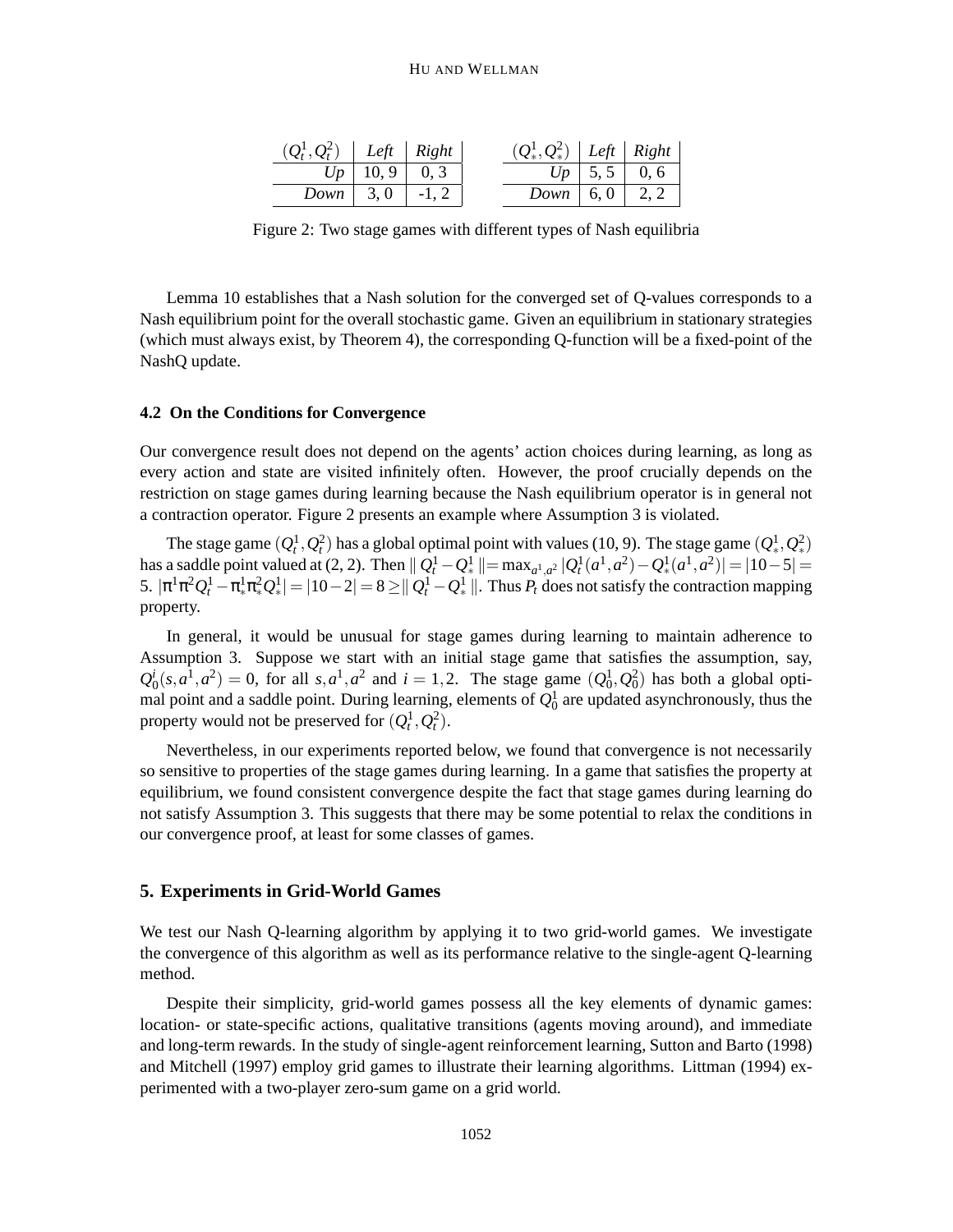| $(Q_t^1, Q_t^2)$ Left Right     |                           |  | $(Q^1_*,Q^2_*)$ Left Right |                            |
|---------------------------------|---------------------------|--|----------------------------|----------------------------|
|                                 | $Up \mid 10, 9 \mid 0, 3$ |  |                            | $Up \, \, 5, 5 \, \, 0, 6$ |
| $Down \,   \, 3,0 \,   \, -1,2$ |                           |  | Down                       | $6, 0 \mid 2, 2$           |

Figure 2: Two stage games with different types of Nash equilibria

Lemma 10 establishes that a Nash solution for the converged set of Q-values corresponds to a Nash equilibrium point for the overall stochastic game. Given an equilibrium in stationary strategies (which must always exist, by Theorem 4), the corresponding Q-function will be a fixed-point of the NashQ update.

#### **4.2 On the Conditions for Convergence**

Our convergence result does not depend on the agents' action choices during learning, as long as every action and state are visited infinitely often. However, the proof crucially depends on the restriction on stage games during learning because the Nash equilibrium operator is in general not a contraction operator. Figure 2 presents an example where Assumption 3 is violated.

The stage game  $(Q_t^1, Q_t^2)$  has a global optimal point with values (10, 9). The stage game  $(Q_*^1, Q_*^2)$ has a saddle point valued at (2, 2). Then  $||Q_t^1 - Q_*^1|| = \max_{a^1, a^2} |Q_t^1(a^1, a^2) - Q_*^1(a^1, a^2)| = |10 - 5| =$ 5.  $|\pi^1\pi^2Q_t^1 - \pi_*^1\pi_*^2Q_*^1| = |10-2| = 8 \geq ||Q_t^1 - Q_*^1||$ . Thus  $P_t$  does not satisfy the contraction mapping property.

In general, it would be unusual for stage games during learning to maintain adherence to Assumption 3. Suppose we start with an initial stage game that satisfies the assumption, say,  $Q_0^i(s, a^1, a^2) = 0$ , for all  $s, a^1, a^2$  and  $i = 1, 2$ . The stage game  $(Q_0^1, Q_0^2)$  has both a global optimal point and a saddle point. During learning, elements of  $Q_0^1$  are updated asynchronously, thus the property would not be preserved for  $(Q_t^1, Q_t^2)$ .

Nevertheless, in our experiments reported below, we found that convergence is not necessarily so sensitive to properties of the stage games during learning. In a game that satisfies the property at equilibrium, we found consistent convergence despite the fact that stage games during learning do not satisfy Assumption 3. This suggests that there may be some potential to relax the conditions in our convergence proof, at least for some classes of games.

## **5. Experiments in Grid-World Games**

We test our Nash Q-learning algorithm by applying it to two grid-world games. We investigate the convergence of this algorithm as well as its performance relative to the single-agent Q-learning method.

Despite their simplicity, grid-world games possess all the key elements of dynamic games: location- or state-specific actions, qualitative transitions (agents moving around), and immediate and long-term rewards. In the study of single-agent reinforcement learning, Sutton and Barto (1998) and Mitchell (1997) employ grid games to illustrate their learning algorithms. Littman (1994) experimented with a two-player zero-sum game on a grid world.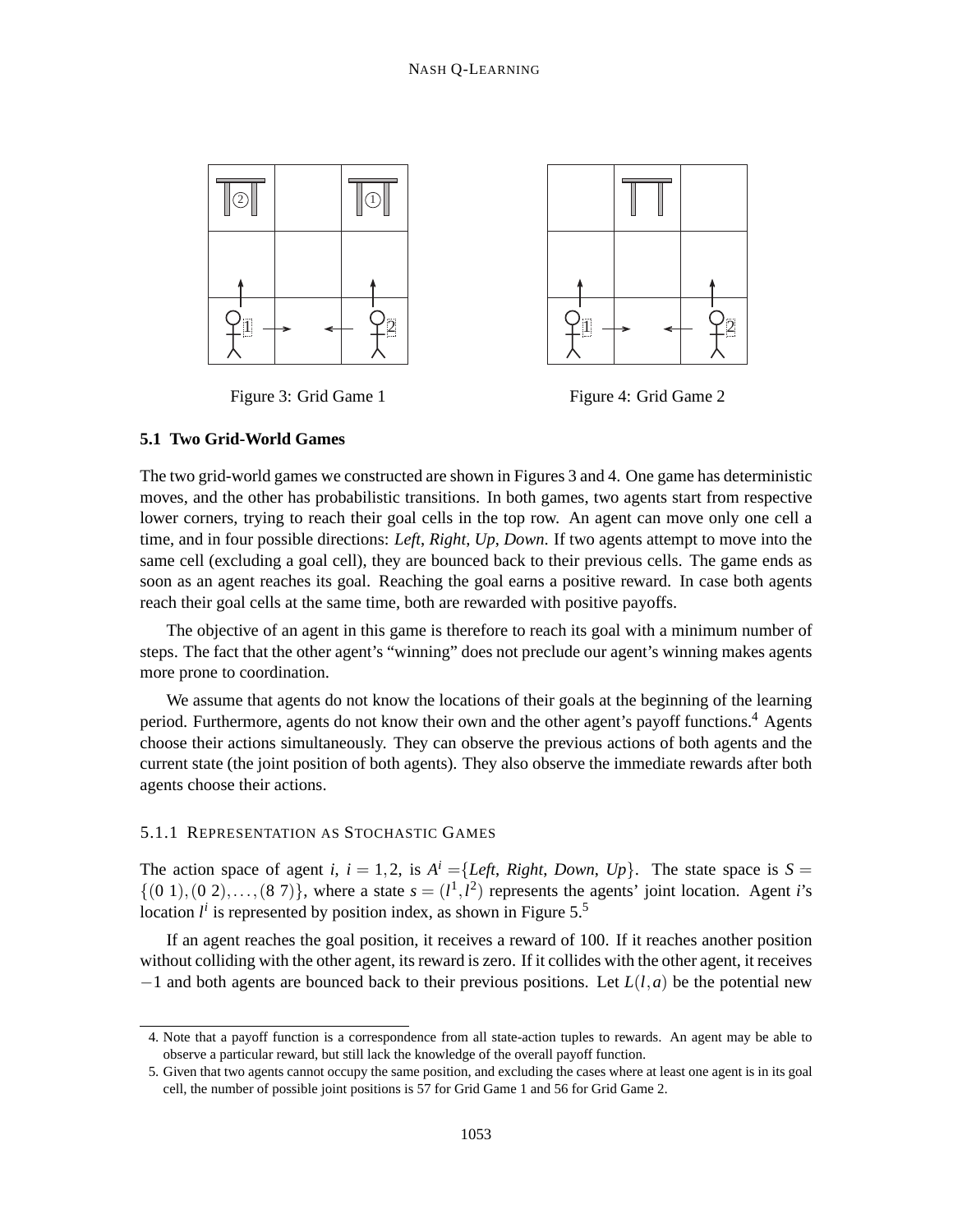

Figure 3: Grid Game 1

Figure 4: Grid Game 2

## **5.1 Two Grid-World Games**

The two grid-world games we constructed are shown in Figures 3 and 4. One game has deterministic moves, and the other has probabilistic transitions. In both games, two agents start from respective lower corners, trying to reach their goal cells in the top row. An agent can move only one cell a time, and in four possible directions: *Left*, *Right*, *Up*, *Down*. If two agents attempt to move into the same cell (excluding a goal cell), they are bounced back to their previous cells. The game ends as soon as an agent reaches its goal. Reaching the goal earns a positive reward. In case both agents reach their goal cells at the same time, both are rewarded with positive payoffs.

The objective of an agent in this game is therefore to reach its goal with a minimum number of steps. The fact that the other agent's "winning" does not preclude our agent's winning makes agents more prone to coordination.

We assume that agents do not know the locations of their goals at the beginning of the learning period. Furthermore, agents do not know their own and the other agent's payoff functions.<sup>4</sup> Agents choose their actions simultaneously. They can observe the previous actions of both agents and the current state (the joint position of both agents). They also observe the immediate rewards after both agents choose their actions.

## 5.1.1 REPRESENTATION AS STOCHASTIC GAMES

The action space of agent *i*,  $i = 1, 2$ , is  $A^i = \{Left, Right, Down, Up\}$ . The state space is  $S =$  $\{(0\ 1), (0\ 2), \ldots, (8\ 7)\}\,$ , where a state  $s = (l^1, l^2)$  represents the agents' joint location. Agent *i*'s location  $l^i$  is represented by position index, as shown in Figure 5.<sup>5</sup>

If an agent reaches the goal position, it receives a reward of 100. If it reaches another position without colliding with the other agent, its reward is zero. If it collides with the other agent, it receives −1 and both agents are bounced back to their previous positions. Let *L*(*l*,*a*) be the potential new

<sup>4.</sup> Note that a payoff function is a correspondence from all state-action tuples to rewards. An agent may be able to observe a particular reward, but still lack the knowledge of the overall payoff function.

<sup>5.</sup> Given that two agents cannot occupy the same position, and excluding the cases where at least one agent is in its goal cell, the number of possible joint positions is 57 for Grid Game 1 and 56 for Grid Game 2.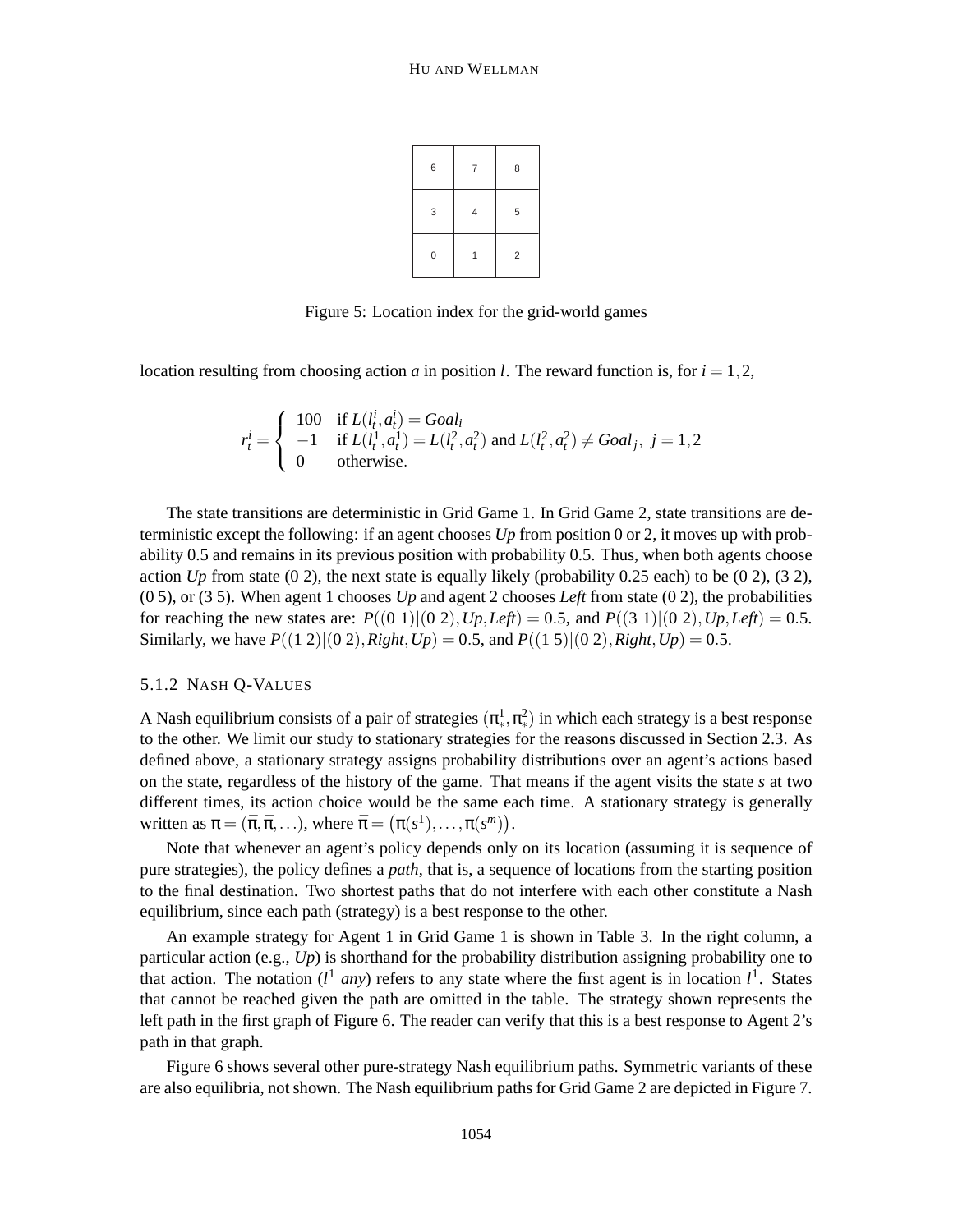| 6                | $\overline{7}$ | 8              |
|------------------|----------------|----------------|
| 3                | $\overline{4}$ | 5              |
| $\boldsymbol{0}$ |                | $\overline{2}$ |

Figure 5: Location index for the grid-world games

location resulting from choosing action *a* in position *l*. The reward function is, for  $i = 1, 2$ ,

$$
r_t^i = \begin{cases} 100 & \text{if } L(l_t^i, a_t^i) = Goal_i \\ -1 & \text{if } L(l_t^1, a_t^1) = L(l_t^2, a_t^2) \text{ and } L(l_t^2, a_t^2) \neq Goal_j, \ j = 1, 2 \\ 0 & \text{otherwise.} \end{cases}
$$

The state transitions are deterministic in Grid Game 1. In Grid Game 2, state transitions are deterministic except the following: if an agent chooses *Up* from position 0 or 2, it moves up with probability 0.5 and remains in its previous position with probability 0.5. Thus, when both agents choose action  $Up$  from state  $(0 2)$ , the next state is equally likely (probability 0.25 each) to be  $(0 2)$ ,  $(3 2)$ , (0 5), or (3 5). When agent 1 chooses *Up* and agent 2 chooses *Left* from state (0 2), the probabilities for reaching the new states are:  $P((0\ 1)|(0\ 2), Up, Left) = 0.5$ , and  $P((3\ 1)|(0\ 2), Up, Left) = 0.5$ . Similarly, we have  $P((1\ 2)|(0\ 2),$ *Right*,  $Up) = 0.5$ , and  $P((1\ 5)|(0\ 2),$ *Right*,  $Up) = 0.5$ .

## 5.1.2 NASH Q-VALUES

A Nash equilibrium consists of a pair of strategies  $(\pi^1_*,\pi^2_*)$  in which each strategy is a best response to the other. We limit our study to stationary strategies for the reasons discussed in Section 2.3. As defined above, a stationary strategy assigns probability distributions over an agent's actions based on the state, regardless of the history of the game. That means if the agent visits the state *s* at two different times, its action choice would be the same each time. A stationary strategy is generally written as  $\pi = (\bar{\pi}, \bar{\pi}, \ldots)$ , where  $\bar{\pi} = (\pi(s^1), \ldots, \pi(s^m))$ .

Note that whenever an agent's policy depends only on its location (assuming it is sequence of pure strategies), the policy defines a *path*, that is, a sequence of locations from the starting position to the final destination. Two shortest paths that do not interfere with each other constitute a Nash equilibrium, since each path (strategy) is a best response to the other.

An example strategy for Agent 1 in Grid Game 1 is shown in Table 3. In the right column, a particular action (e.g., *Up*) is shorthand for the probability distribution assigning probability one to that action. The notation  $(l<sup>1</sup>$  *any*) refers to any state where the first agent is in location  $l<sup>1</sup>$ . States that cannot be reached given the path are omitted in the table. The strategy shown represents the left path in the first graph of Figure 6. The reader can verify that this is a best response to Agent 2's path in that graph.

Figure 6 shows several other pure-strategy Nash equilibrium paths. Symmetric variants of these are also equilibria, not shown. The Nash equilibrium paths for Grid Game 2 are depicted in Figure 7.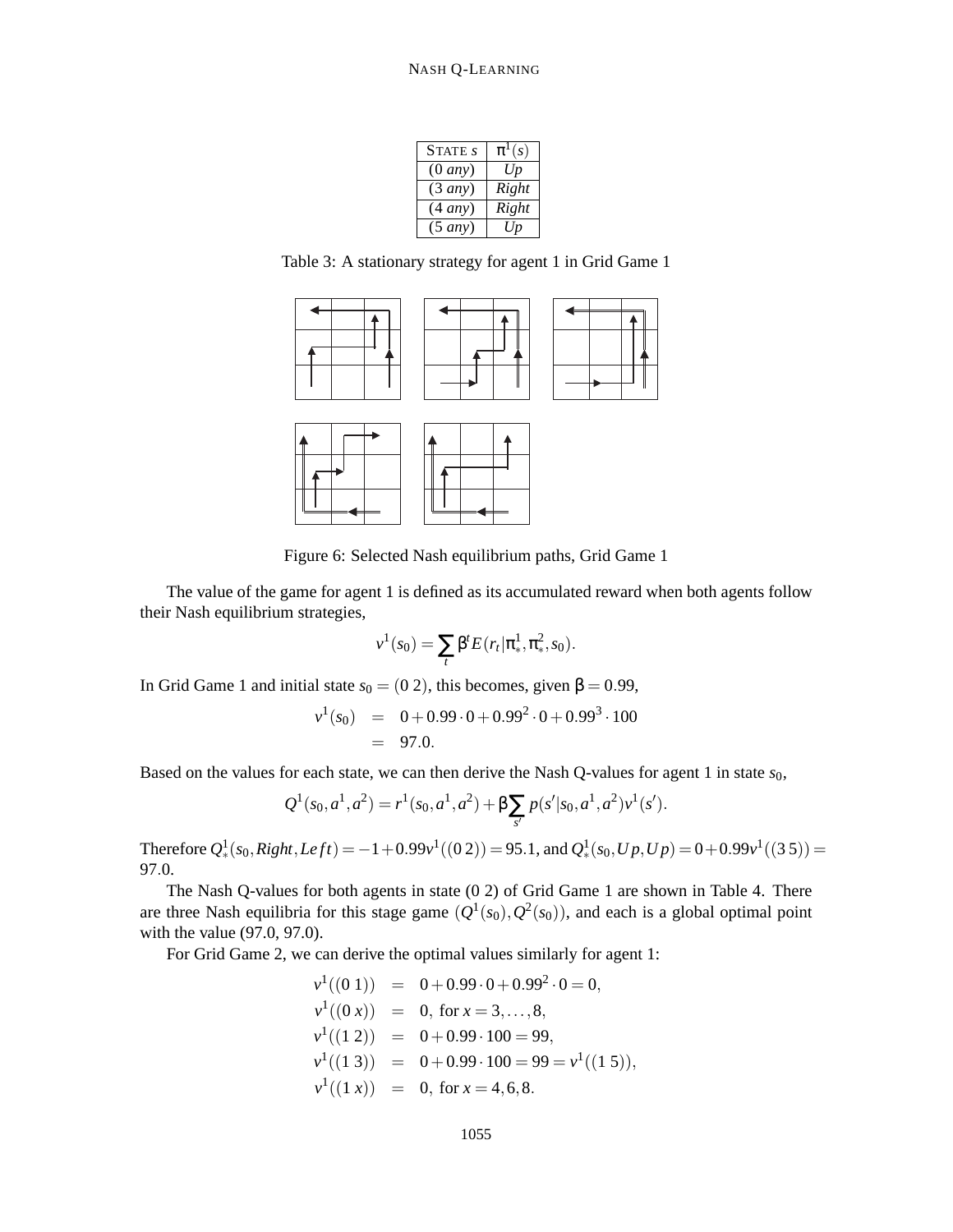| STATE S           | $\pi^{\scriptscriptstyle{L}}(s)$ |
|-------------------|----------------------------------|
| $(0 \text{ any})$ | U p                              |
| $(3 \; any)$      | Right                            |
| $(4 \text{ any})$ | Right                            |
| $(5 \text{ any})$ | U p                              |

Table 3: A stationary strategy for agent 1 in Grid Game 1



Figure 6: Selected Nash equilibrium paths, Grid Game 1

The value of the game for agent 1 is defined as its accumulated reward when both agents follow their Nash equilibrium strategies,

$$
v^1(s_0) = \sum_t \beta^t E(r_t | \pi^1_*, \pi^2_*, s_0).
$$

In Grid Game 1 and initial state  $s_0 = (0\ 2)$ , this becomes, given  $\beta = 0.99$ ,

$$
v^{1}(s_{0}) = 0 + 0.99 \cdot 0 + 0.99^{2} \cdot 0 + 0.99^{3} \cdot 100
$$
  
= 97.0.

Based on the values for each state, we can then derive the Nash Q-values for agent 1 in state  $s<sub>0</sub>$ ,

$$
Q^{1}(s_0, a^1, a^2) = r^{1}(s_0, a^1, a^2) + \beta \sum_{s'} p(s'|s_0, a^1, a^2) v^{1}(s').
$$

Therefore  $Q^1_*(s_0, Right, Left) = -1 + 0.99v^1((0\ 2)) = 95.1$ , and  $Q^1_*(s_0, Up, Up) = 0 + 0.99v^1((3\ 5)) =$ 97.0.

The Nash Q-values for both agents in state (0 2) of Grid Game 1 are shown in Table 4. There are three Nash equilibria for this stage game  $(Q<sup>1</sup>(s<sub>0</sub>), Q<sup>2</sup>(s<sub>0</sub>))$ , and each is a global optimal point with the value (97.0, 97.0).

For Grid Game 2, we can derive the optimal values similarly for agent 1:

$$
v^{1}((0\ 1)) = 0 + 0.99 \cdot 0 + 0.99^{2} \cdot 0 = 0,
$$
  
\n
$$
v^{1}((0\ x)) = 0, \text{ for } x = 3,...,8,
$$
  
\n
$$
v^{1}((1\ 2)) = 0 + 0.99 \cdot 100 = 99,
$$
  
\n
$$
v^{1}((1\ 3)) = 0 + 0.99 \cdot 100 = 99 = v^{1}((1\ 5)),
$$
  
\n
$$
v^{1}((1\ x)) = 0, \text{ for } x = 4, 6, 8.
$$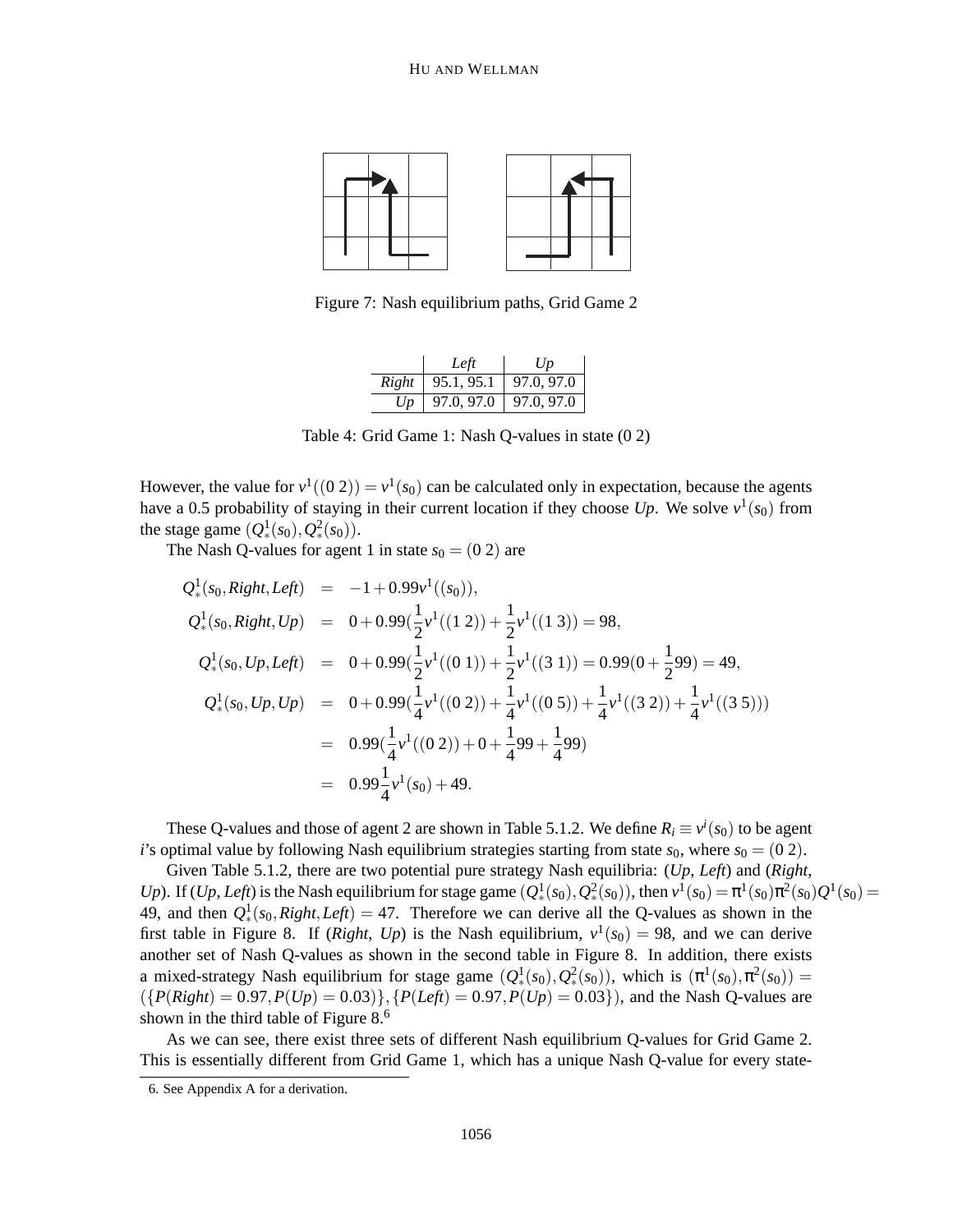

Figure 7: Nash equilibrium paths, Grid Game 2

| Left                              | l / p |
|-----------------------------------|-------|
| $Right$   95.1, 95.1   97.0, 97.0 |       |
| 97.0, 97.0   97.0, 97.0           |       |

Table 4: Grid Game 1: Nash Q-values in state (0 2)

However, the value for  $v^1((0\ 2)) = v^1(s_0)$  can be calculated only in expectation, because the agents have a 0.5 probability of staying in their current location if they choose *Up*. We solve  $v^1(s_0)$  from the stage game  $(Q^1_*(s_0), Q^2_*(s_0))$ .

The Nash Q-values for agent 1 in state  $s_0 = (0\ 2)$  are

$$
Q_{*}^{1}(s_{0}, Right, Left) = -1 + 0.99v^{1}((s_{0})),
$$
  
\n
$$
Q_{*}^{1}(s_{0}, Right, Up) = 0 + 0.99(\frac{1}{2}v^{1}((1\ 2)) + \frac{1}{2}v^{1}((1\ 3)) = 98,
$$
  
\n
$$
Q_{*}^{1}(s_{0}, Up, Left) = 0 + 0.99(\frac{1}{2}v^{1}((0\ 1)) + \frac{1}{2}v^{1}((3\ 1)) = 0.99(0 + \frac{1}{2}99) = 49,
$$
  
\n
$$
Q_{*}^{1}(s_{0}, Up, Up) = 0 + 0.99(\frac{1}{4}v^{1}((0\ 2)) + \frac{1}{4}v^{1}((0\ 5)) + \frac{1}{4}v^{1}((3\ 2)) + \frac{1}{4}v^{1}((3\ 5)))
$$
  
\n
$$
= 0.99(\frac{1}{4}v^{1}((0\ 2)) + 0 + \frac{1}{4}99 + \frac{1}{4}99)
$$
  
\n
$$
= 0.99\frac{1}{4}v^{1}(s_{0}) + 49.
$$

These Q-values and those of agent 2 are shown in Table 5.1.2. We define  $R_i \equiv v^i(s_0)$  to be agent *i*'s optimal value by following Nash equilibrium strategies starting from state  $s_0$ , where  $s_0 = (0\ 2)$ .

Given Table 5.1.2, there are two potential pure strategy Nash equilibria: (*Up*, *Left*) and (*Right*, *Up*). If  $(U_p, Lef)$  is the Nash equilibrium for stage game  $(Q^1_*(s_0), Q^2_*(s_0))$ , then  $v^1(s_0) = \pi^1(s_0)\pi^2(s_0)Q^1(s_0) =$ 49, and then  $Q^1_*(s_0, Right, Left) = 47$ . Therefore we can derive all the Q-values as shown in the first table in Figure 8. If (*Right*, *Up*) is the Nash equilibrium,  $v^1(s_0) = 98$ , and we can derive another set of Nash Q-values as shown in the second table in Figure 8. In addition, there exists a mixed-strategy Nash equilibrium for stage game  $(Q^1_*(s_0), Q^2_*(s_0))$ , which is  $(\pi^1(s_0), \pi^2(s_0))$  =  $({P(Right) = 0.97, P(Up) = 0.03)}$ ,  ${P(Left) = 0.97, P(Up) = 0.03}$ , and the Nash Q-values are shown in the third table of Figure 8.<sup>6</sup>

As we can see, there exist three sets of different Nash equilibrium Q-values for Grid Game 2. This is essentially different from Grid Game 1, which has a unique Nash Q-value for every state-

<sup>6.</sup> See Appendix A for a derivation.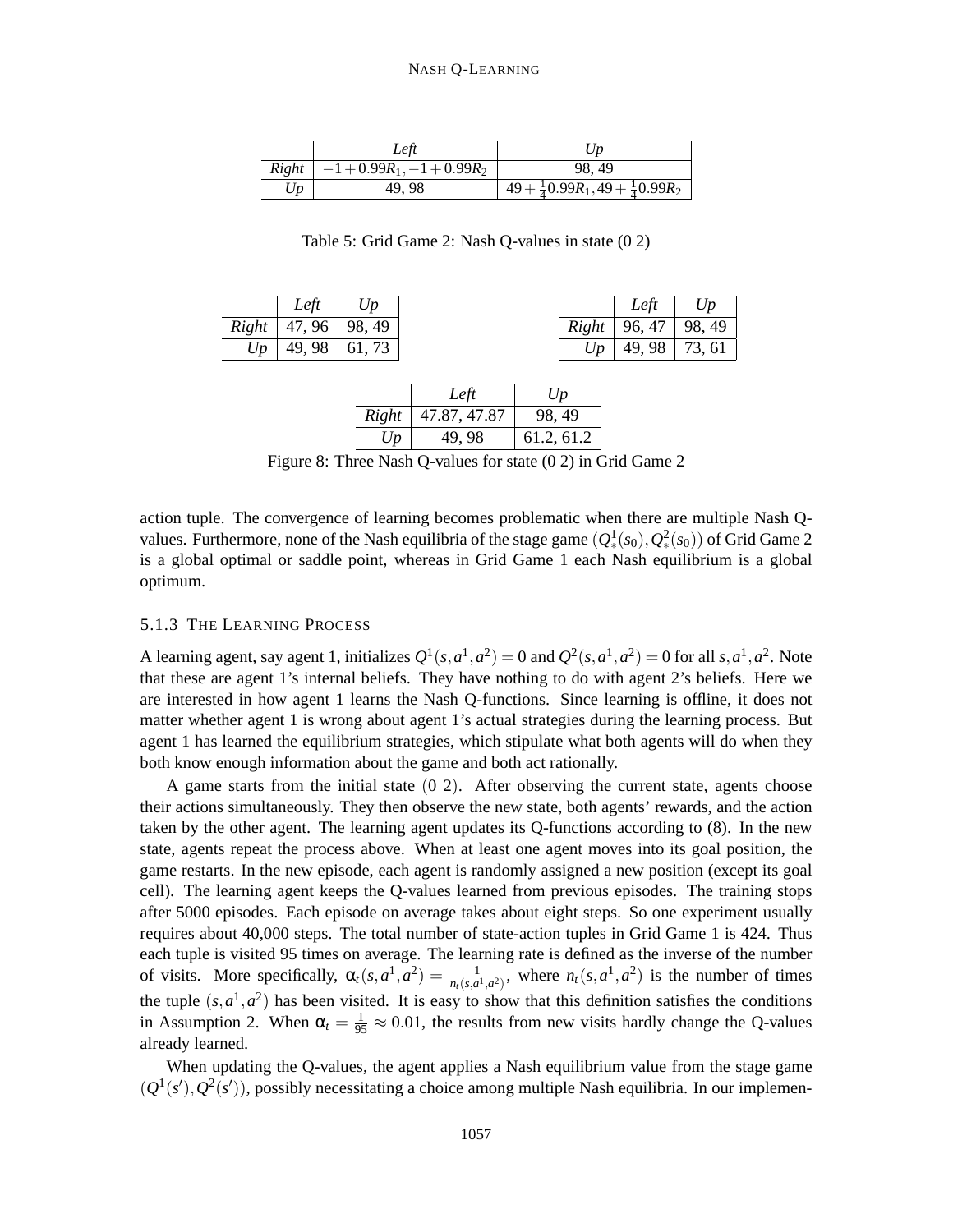|       | Lett                     | $\cup p$                                           |
|-------|--------------------------|----------------------------------------------------|
| Right | $-1+0.99R_1, -1+0.99R_2$ | 98.49                                              |
| Up    | 49.98                    | $49 + \frac{1}{4}0.99R_1, 49 + \frac{1}{4}0.99R_2$ |

Table 5: Grid Game 2: Nash Q-values in state (0 2)

|       | Left   | Up     |              |            |       | Left   | U p    |
|-------|--------|--------|--------------|------------|-------|--------|--------|
| Right | 47, 96 | 98, 49 |              |            | Right | 96, 47 | 98, 49 |
| $U_p$ | 49,98  | 61, 73 |              |            | Up    | 49,98  | 73, 61 |
|       |        |        |              |            |       |        |        |
|       |        |        | Left         | Up         |       |        |        |
|       |        | Right  | 47.87, 47.87 | 98, 49     |       |        |        |
|       |        | Up     | 49,98        | 61.2, 61.2 |       |        |        |

Figure 8: Three Nash Q-values for state (0 2) in Grid Game 2

action tuple. The convergence of learning becomes problematic when there are multiple Nash Qvalues. Furthermore, none of the Nash equilibria of the stage game  $(Q_*^1(s_0),Q_*^2(s_0))$  of Grid Game 2 is a global optimal or saddle point, whereas in Grid Game 1 each Nash equilibrium is a global optimum.

## 5.1.3 THE LEARNING PROCESS

A learning agent, say agent 1, initializes  $Q^1(s, a^1, a^2) = 0$  and  $Q^2(s, a^1, a^2) = 0$  for all  $s, a^1, a^2$ . Note that these are agent 1's internal beliefs. They have nothing to do with agent 2's beliefs. Here we are interested in how agent 1 learns the Nash Q-functions. Since learning is offline, it does not matter whether agent 1 is wrong about agent 1's actual strategies during the learning process. But agent 1 has learned the equilibrium strategies, which stipulate what both agents will do when they both know enough information about the game and both act rationally.

A game starts from the initial state  $(0, 2)$ . After observing the current state, agents choose their actions simultaneously. They then observe the new state, both agents' rewards, and the action taken by the other agent. The learning agent updates its Q-functions according to (8). In the new state, agents repeat the process above. When at least one agent moves into its goal position, the game restarts. In the new episode, each agent is randomly assigned a new position (except its goal cell). The learning agent keeps the Q-values learned from previous episodes. The training stops after 5000 episodes. Each episode on average takes about eight steps. So one experiment usually requires about 40,000 steps. The total number of state-action tuples in Grid Game 1 is 424. Thus each tuple is visited 95 times on average. The learning rate is defined as the inverse of the number of visits. More specifically,  $\alpha_t(s, a^1, a^2) = \frac{1}{n_t(s, a^1, a^2)}$ , where  $n_t(s, a^1, a^2)$  is the number of times the tuple  $(s, a^1, a^2)$  has been visited. It is easy to show that this definition satisfies the conditions in Assumption 2. When  $\alpha_t = \frac{1}{95} \approx 0.01$ , the results from new visits hardly change the Q-values already learned.

When updating the Q-values, the agent applies a Nash equilibrium value from the stage game  $(Q<sup>1</sup>(s'), Q<sup>2</sup>(s'))$ , possibly necessitating a choice among multiple Nash equilibria. In our implemen-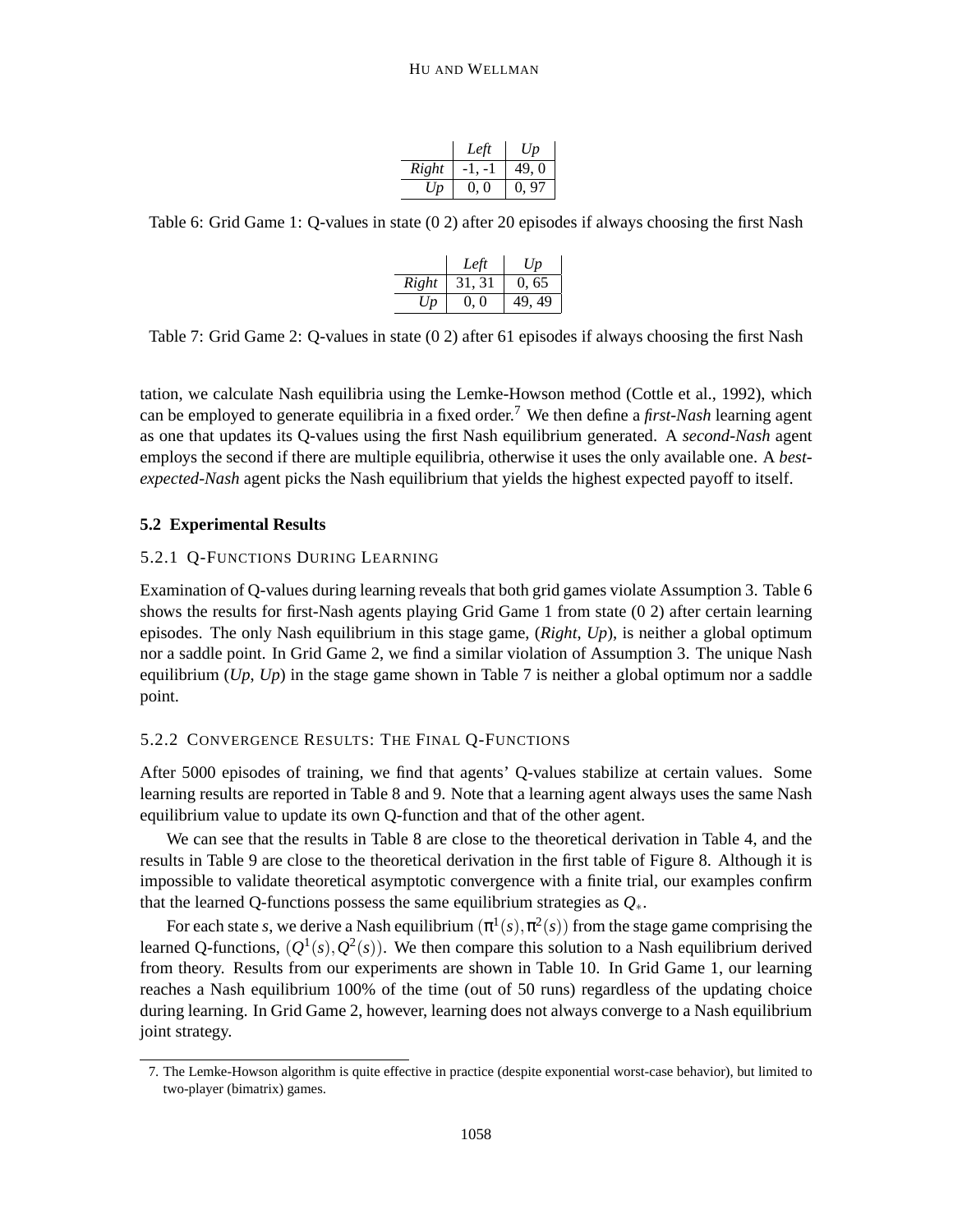|       | Left |       |
|-------|------|-------|
| Right |      | 49. 0 |
|       | 0    | 97    |

Table 6: Grid Game 1: Q-values in state (0 2) after 20 episodes if always choosing the first Nash

|       | Left  |       |
|-------|-------|-------|
| Right | 31.31 | 0, 65 |
|       | 0.0   | 49    |

Table 7: Grid Game 2: Q-values in state (0 2) after 61 episodes if always choosing the first Nash

tation, we calculate Nash equilibria using the Lemke-Howson method (Cottle et al., 1992), which can be employed to generate equilibria in a fixed order.<sup>7</sup> We then define a *first-Nash* learning agent as one that updates its Q-values using the first Nash equilibrium generated. A *second-Nash* agent employs the second if there are multiple equilibria, otherwise it uses the only available one. A *bestexpected-Nash* agent picks the Nash equilibrium that yields the highest expected payoff to itself.

# **5.2 Experimental Results**

## 5.2.1 Q-FUNCTIONS DURING LEARNING

Examination of Q-values during learning reveals that both grid games violate Assumption 3. Table 6 shows the results for first-Nash agents playing Grid Game 1 from state (0 2) after certain learning episodes. The only Nash equilibrium in this stage game, (*Right*, *Up*), is neither a global optimum nor a saddle point. In Grid Game 2, we find a similar violation of Assumption 3. The unique Nash equilibrium (*Up*, *Up*) in the stage game shown in Table 7 is neither a global optimum nor a saddle point.

## 5.2.2 CONVERGENCE RESULTS: THE FINAL Q-FUNCTIONS

After 5000 episodes of training, we find that agents' Q-values stabilize at certain values. Some learning results are reported in Table 8 and 9. Note that a learning agent always uses the same Nash equilibrium value to update its own Q-function and that of the other agent.

We can see that the results in Table 8 are close to the theoretical derivation in Table 4, and the results in Table 9 are close to the theoretical derivation in the first table of Figure 8. Although it is impossible to validate theoretical asymptotic convergence with a finite trial, our examples confirm that the learned Q-functions possess the same equilibrium strategies as *Q*∗.

For each state *s*, we derive a Nash equilibrium  $(\pi^1(s), \pi^2(s))$  from the stage game comprising the learned Q-functions,  $(Q^1(s), Q^2(s))$ . We then compare this solution to a Nash equilibrium derived from theory. Results from our experiments are shown in Table 10. In Grid Game 1, our learning reaches a Nash equilibrium 100% of the time (out of 50 runs) regardless of the updating choice during learning. In Grid Game 2, however, learning does not always converge to a Nash equilibrium joint strategy.

<sup>7.</sup> The Lemke-Howson algorithm is quite effective in practice (despite exponential worst-case behavior), but limited to two-player (bimatrix) games.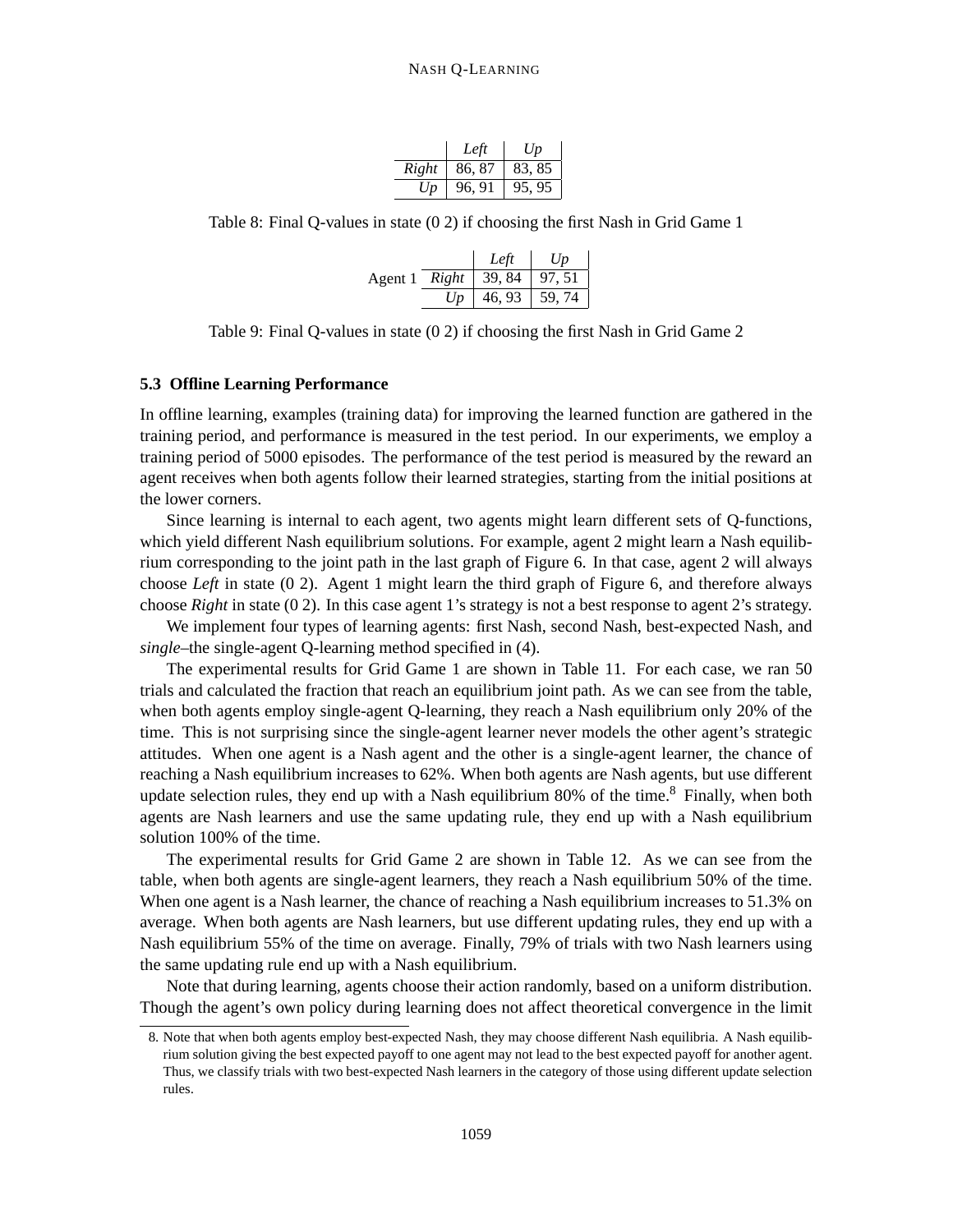|       | Left   |        |
|-------|--------|--------|
| Right | 86, 87 | 83, 85 |
|       | 96.91  | 95.    |

Table 8: Final Q-values in state (0 2) if choosing the first Nash in Grid Game 1

|                          |    | Left              | Un    |
|--------------------------|----|-------------------|-------|
| Agent 1 $Right$   39, 84 |    |                   | 97.51 |
|                          | Up | $46, 93$   59, 74 |       |

Table 9: Final Q-values in state (0 2) if choosing the first Nash in Grid Game 2

## **5.3 Offline Learning Performance**

In offline learning, examples (training data) for improving the learned function are gathered in the training period, and performance is measured in the test period. In our experiments, we employ a training period of 5000 episodes. The performance of the test period is measured by the reward an agent receives when both agents follow their learned strategies, starting from the initial positions at the lower corners.

Since learning is internal to each agent, two agents might learn different sets of Q-functions, which yield different Nash equilibrium solutions. For example, agent 2 might learn a Nash equilibrium corresponding to the joint path in the last graph of Figure 6. In that case, agent 2 will always choose *Left* in state (0 2). Agent 1 might learn the third graph of Figure 6, and therefore always choose *Right* in state (0 2). In this case agent 1's strategy is not a best response to agent 2's strategy.

We implement four types of learning agents: first Nash, second Nash, best-expected Nash, and *single*–the single-agent Q-learning method specified in (4).

The experimental results for Grid Game 1 are shown in Table 11. For each case, we ran 50 trials and calculated the fraction that reach an equilibrium joint path. As we can see from the table, when both agents employ single-agent Q-learning, they reach a Nash equilibrium only 20% of the time. This is not surprising since the single-agent learner never models the other agent's strategic attitudes. When one agent is a Nash agent and the other is a single-agent learner, the chance of reaching a Nash equilibrium increases to 62%. When both agents are Nash agents, but use different update selection rules, they end up with a Nash equilibrium 80% of the time.<sup>8</sup> Finally, when both agents are Nash learners and use the same updating rule, they end up with a Nash equilibrium solution 100% of the time.

The experimental results for Grid Game 2 are shown in Table 12. As we can see from the table, when both agents are single-agent learners, they reach a Nash equilibrium 50% of the time. When one agent is a Nash learner, the chance of reaching a Nash equilibrium increases to 51.3% on average. When both agents are Nash learners, but use different updating rules, they end up with a Nash equilibrium 55% of the time on average. Finally, 79% of trials with two Nash learners using the same updating rule end up with a Nash equilibrium.

Note that during learning, agents choose their action randomly, based on a uniform distribution. Though the agent's own policy during learning does not affect theoretical convergence in the limit

<sup>8.</sup> Note that when both agents employ best-expected Nash, they may choose different Nash equilibria. A Nash equilibrium solution giving the best expected payoff to one agent may not lead to the best expected payoff for another agent. Thus, we classify trials with two best-expected Nash learners in the category of those using different update selection rules.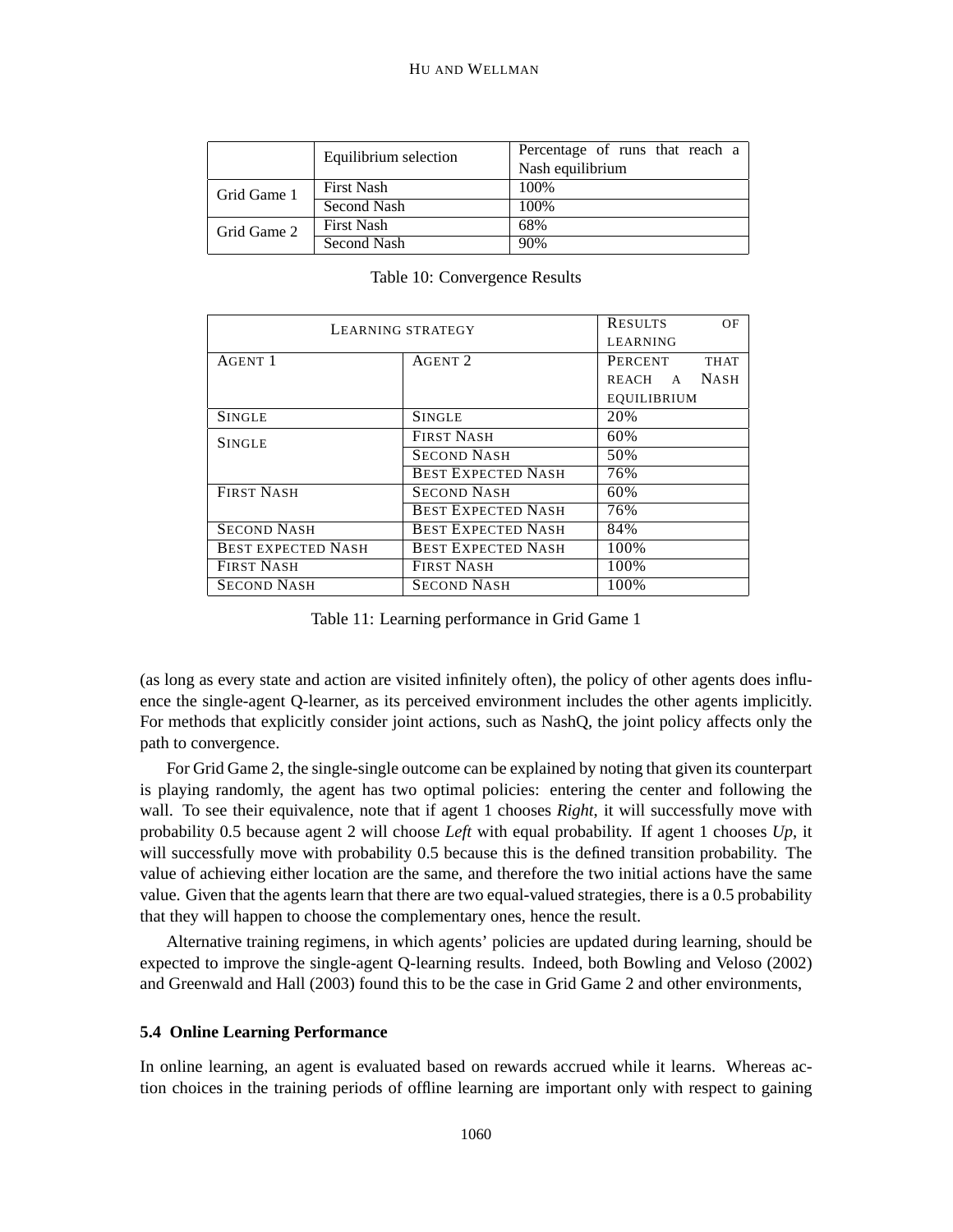#### HU AND WELLMAN

|             | Equilibrium selection | Percentage of runs that reach a<br>Nash equilibrium |
|-------------|-----------------------|-----------------------------------------------------|
| Grid Game 1 | <b>First Nash</b>     | 100%                                                |
|             | Second Nash           | 100%                                                |
| Grid Game 2 | <b>First Nash</b>     | 68%                                                 |
|             | Second Nash           | 90%                                                 |

Table 10: Convergence Results

| LEARNING STRATEGY         |                           | <b>RESULTS</b><br>OF   |
|---------------------------|---------------------------|------------------------|
|                           |                           | <b>LEARNING</b>        |
| AGENT 1                   | AGENT <sub>2</sub>        | PERCENT<br><b>THAT</b> |
|                           |                           | <b>NASH</b><br>REACH A |
|                           |                           | EQUILIBRIUM            |
| <b>SINGLE</b>             | <b>SINGLE</b>             | 20%                    |
| SINGLE                    | <b>FIRST NASH</b>         | 60%                    |
|                           | <b>SECOND NASH</b>        | 50%                    |
|                           | <b>BEST EXPECTED NASH</b> | 76%                    |
| <b>FIRST NASH</b>         | <b>SECOND NASH</b>        | 60%                    |
|                           | <b>BEST EXPECTED NASH</b> | 76%                    |
| <b>SECOND NASH</b>        | <b>BEST EXPECTED NASH</b> | 84%                    |
| <b>BEST EXPECTED NASH</b> | <b>BEST EXPECTED NASH</b> | 100\%                  |
| <b>FIRST NASH</b>         | <b>FIRST NASH</b>         | 100%                   |
| <b>SECOND NASH</b>        | <b>SECOND NASH</b>        | 100%                   |

Table 11: Learning performance in Grid Game 1

(as long as every state and action are visited infinitely often), the policy of other agents does influence the single-agent Q-learner, as its perceived environment includes the other agents implicitly. For methods that explicitly consider joint actions, such as NashQ, the joint policy affects only the path to convergence.

For Grid Game 2, the single-single outcome can be explained by noting that given its counterpart is playing randomly, the agent has two optimal policies: entering the center and following the wall. To see their equivalence, note that if agent 1 chooses *Right*, it will successfully move with probability 0.5 because agent 2 will choose *Left* with equal probability. If agent 1 chooses *Up*, it will successfully move with probability 0.5 because this is the defined transition probability. The value of achieving either location are the same, and therefore the two initial actions have the same value. Given that the agents learn that there are two equal-valued strategies, there is a 0.5 probability that they will happen to choose the complementary ones, hence the result.

Alternative training regimens, in which agents' policies are updated during learning, should be expected to improve the single-agent Q-learning results. Indeed, both Bowling and Veloso (2002) and Greenwald and Hall (2003) found this to be the case in Grid Game 2 and other environments,

# **5.4 Online Learning Performance**

In online learning, an agent is evaluated based on rewards accrued while it learns. Whereas action choices in the training periods of offline learning are important only with respect to gaining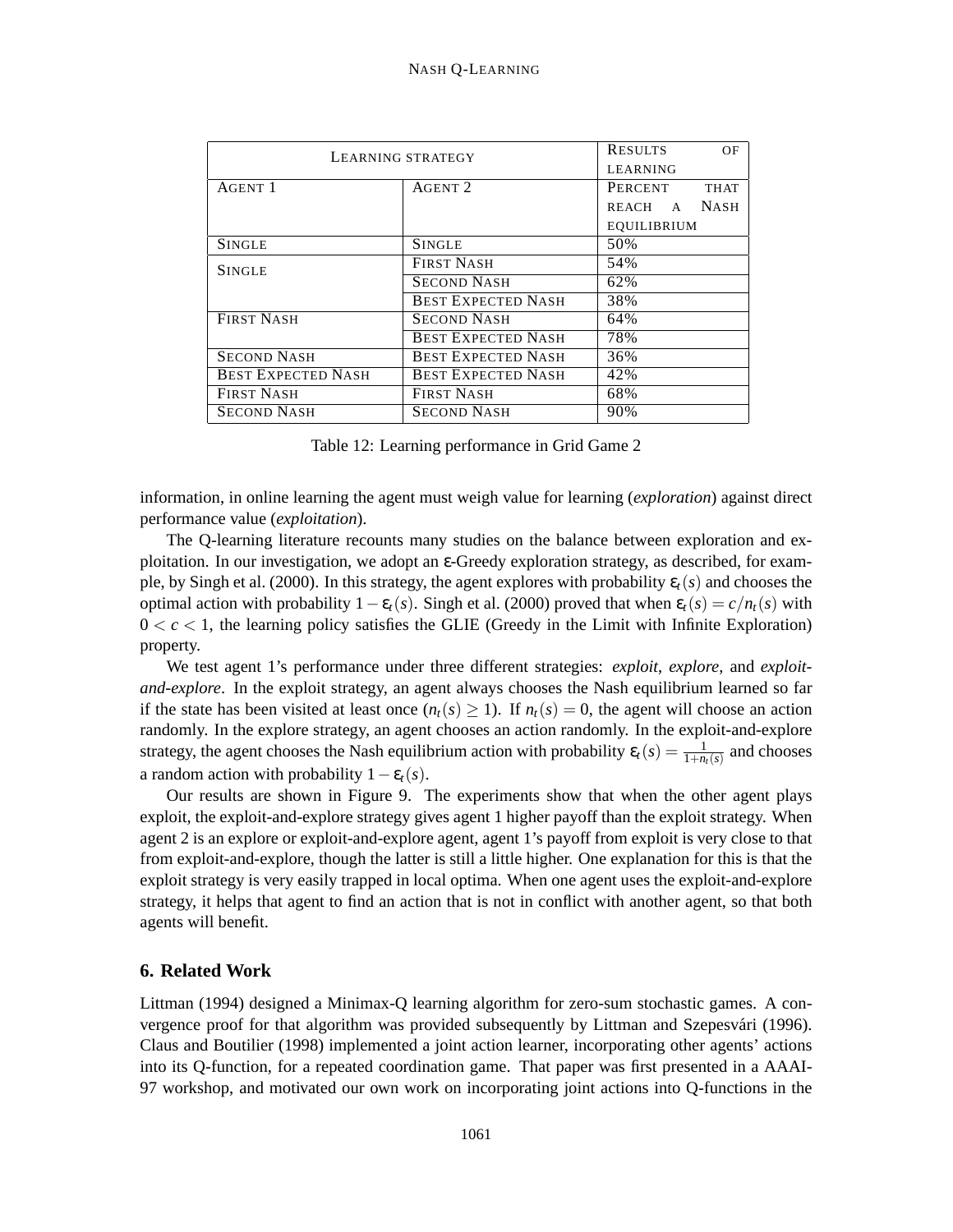| LEARNING STRATEGY         | <b>RESULTS</b><br>OF      |                               |
|---------------------------|---------------------------|-------------------------------|
|                           |                           | <b>LEARNING</b>               |
| AGENT 1                   | AGENT <sub>2</sub>        | <b>PERCENT</b><br><b>THAT</b> |
|                           |                           | <b>NASH</b><br>REACH A        |
|                           |                           | EQUILIBRIUM                   |
| <b>SINGLE</b>             | <b>SINGLE</b>             | 50%                           |
| <b>SINGLE</b>             | <b>FIRST NASH</b>         | 54%                           |
|                           | <b>SECOND NASH</b>        | 62%                           |
|                           | <b>BEST EXPECTED NASH</b> | 38%                           |
| <b>FIRST NASH</b>         | <b>SECOND NASH</b>        | 64%                           |
|                           | <b>BEST EXPECTED NASH</b> | 78%                           |
| <b>SECOND NASH</b>        | <b>BEST EXPECTED NASH</b> | 36%                           |
| <b>BEST EXPECTED NASH</b> | <b>BEST EXPECTED NASH</b> | 42%                           |
| <b>FIRST NASH</b>         | <b>FIRST NASH</b>         | 68%                           |
| <b>SECOND NASH</b>        | <b>SECOND NASH</b>        | 90%                           |

Table 12: Learning performance in Grid Game 2

information, in online learning the agent must weigh value for learning (*exploration*) against direct performance value (*exploitation*).

The Q-learning literature recounts many studies on the balance between exploration and exploitation. In our investigation, we adopt an ε-Greedy exploration strategy, as described, for example, by Singh et al. (2000). In this strategy, the agent explores with probability  $\varepsilon_t(s)$  and chooses the optimal action with probability  $1 - \varepsilon_t(s)$ . Singh et al. (2000) proved that when  $\varepsilon_t(s) = c/n_t(s)$  with  $0 < c < 1$ , the learning policy satisfies the GLIE (Greedy in the Limit with Infinite Exploration) property.

We test agent 1's performance under three different strategies: *exploit*, *explore*, and *exploitand-explore*. In the exploit strategy, an agent always chooses the Nash equilibrium learned so far if the state has been visited at least once  $(n_t(s) \ge 1)$ . If  $n_t(s) = 0$ , the agent will choose an action randomly. In the explore strategy, an agent chooses an action randomly. In the exploit-and-explore strategy, the agent chooses the Nash equilibrium action with probability  $\varepsilon_t(s) = \frac{1}{1 + n_t(s)}$  and chooses a random action with probability  $1 - \varepsilon_t(s)$ .

Our results are shown in Figure 9. The experiments show that when the other agent plays exploit, the exploit-and-explore strategy gives agent 1 higher payoff than the exploit strategy. When agent 2 is an explore or exploit-and-explore agent, agent 1's payoff from exploit is very close to that from exploit-and-explore, though the latter is still a little higher. One explanation for this is that the exploit strategy is very easily trapped in local optima. When one agent uses the exploit-and-explore strategy, it helps that agent to find an action that is not in conflict with another agent, so that both agents will benefit.

# **6. Related Work**

Littman (1994) designed a Minimax-Q learning algorithm for zero-sum stochastic games. A convergence proof for that algorithm was provided subsequently by Littman and Szepesvári (1996). Claus and Boutilier (1998) implemented a joint action learner, incorporating other agents' actions into its Q-function, for a repeated coordination game. That paper was first presented in a AAAI-97 workshop, and motivated our own work on incorporating joint actions into Q-functions in the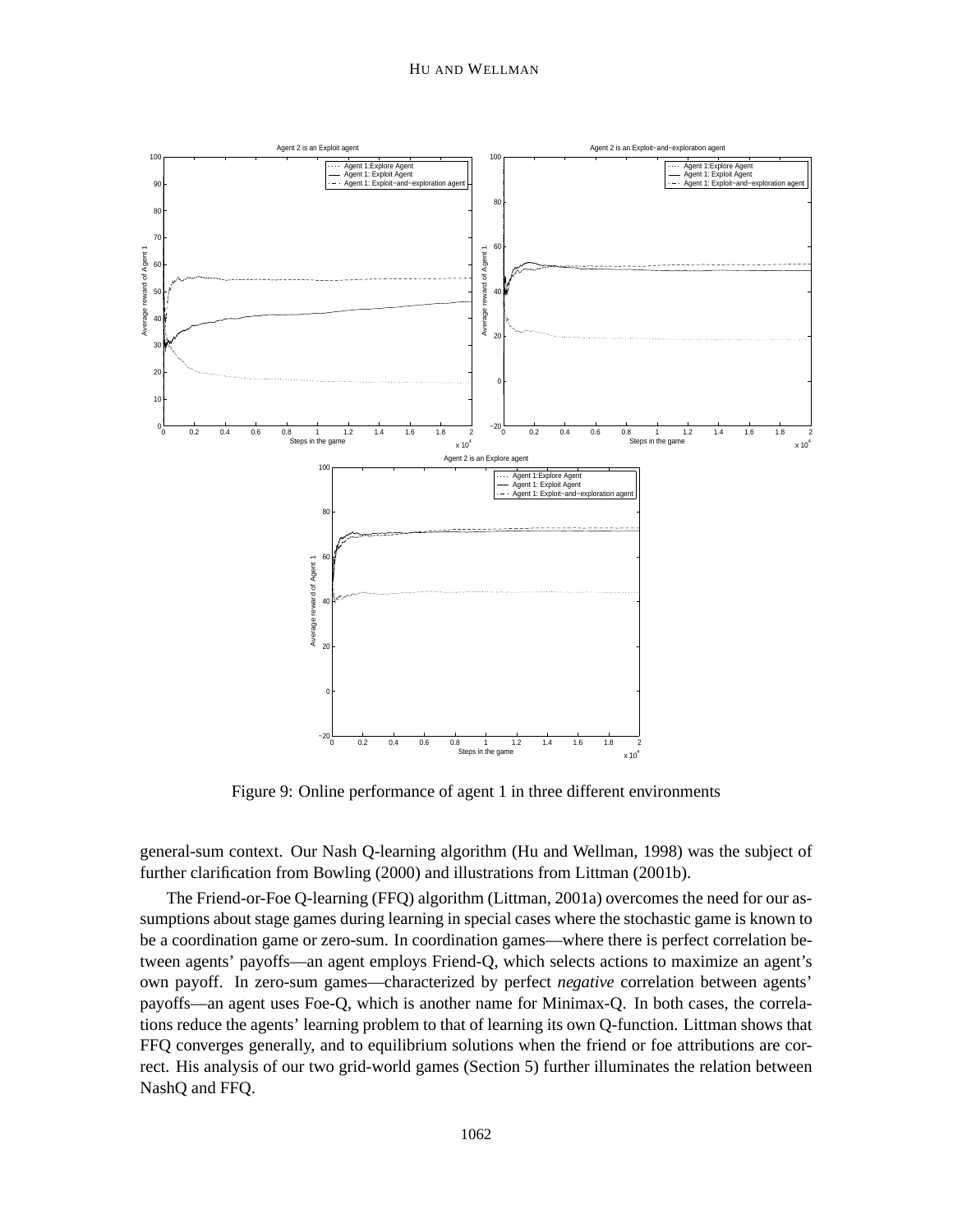

Figure 9: Online performance of agent 1 in three different environments

general-sum context. Our Nash Q-learning algorithm (Hu and Wellman, 1998) was the subject of further clarification from Bowling (2000) and illustrations from Littman (2001b).

The Friend-or-Foe Q-learning (FFQ) algorithm (Littman, 2001a) overcomes the need for our assumptions about stage games during learning in special cases where the stochastic game is known to be a coordination game or zero-sum. In coordination games—where there is perfect correlation between agents' payoffs—an agent employs Friend-Q, which selects actions to maximize an agent's own payoff. In zero-sum games—characterized by perfect *negative* correlation between agents' payoffs—an agent uses Foe-Q, which is another name for Minimax-Q. In both cases, the correlations reduce the agents' learning problem to that of learning its own Q-function. Littman shows that FFQ converges generally, and to equilibrium solutions when the friend or foe attributions are correct. His analysis of our two grid-world games (Section 5) further illuminates the relation between NashQ and FFQ.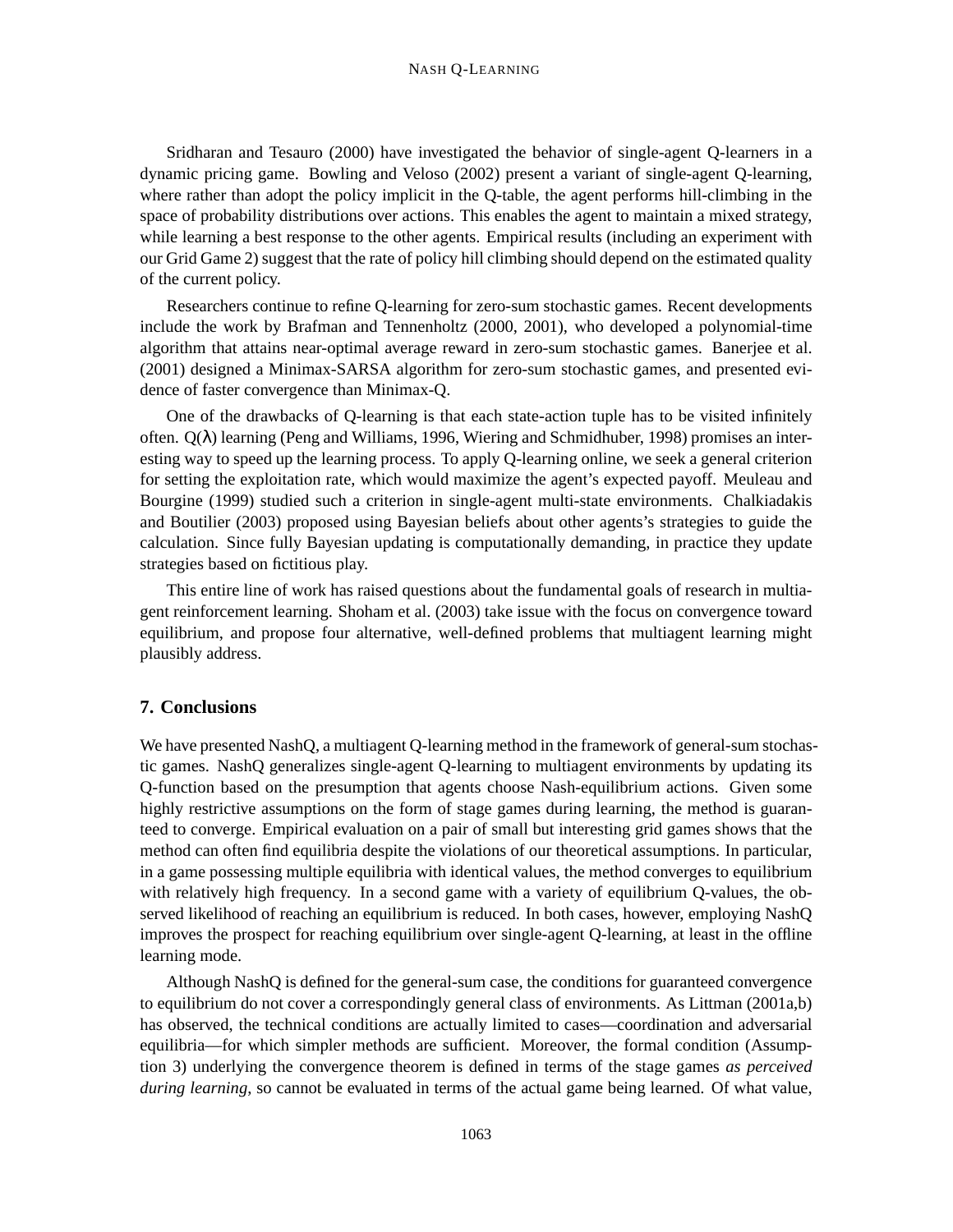Sridharan and Tesauro (2000) have investigated the behavior of single-agent Q-learners in a dynamic pricing game. Bowling and Veloso (2002) present a variant of single-agent Q-learning, where rather than adopt the policy implicit in the Q-table, the agent performs hill-climbing in the space of probability distributions over actions. This enables the agent to maintain a mixed strategy, while learning a best response to the other agents. Empirical results (including an experiment with our Grid Game 2) suggest that the rate of policy hill climbing should depend on the estimated quality of the current policy.

Researchers continue to refine Q-learning for zero-sum stochastic games. Recent developments include the work by Brafman and Tennenholtz (2000, 2001), who developed a polynomial-time algorithm that attains near-optimal average reward in zero-sum stochastic games. Banerjee et al. (2001) designed a Minimax-SARSA algorithm for zero-sum stochastic games, and presented evidence of faster convergence than Minimax-Q.

One of the drawbacks of Q-learning is that each state-action tuple has to be visited infinitely often.  $Q(\lambda)$  learning (Peng and Williams, 1996, Wiering and Schmidhuber, 1998) promises an interesting way to speed up the learning process. To apply Q-learning online, we seek a general criterion for setting the exploitation rate, which would maximize the agent's expected payoff. Meuleau and Bourgine (1999) studied such a criterion in single-agent multi-state environments. Chalkiadakis and Boutilier (2003) proposed using Bayesian beliefs about other agents's strategies to guide the calculation. Since fully Bayesian updating is computationally demanding, in practice they update strategies based on fictitious play.

This entire line of work has raised questions about the fundamental goals of research in multiagent reinforcement learning. Shoham et al. (2003) take issue with the focus on convergence toward equilibrium, and propose four alternative, well-defined problems that multiagent learning might plausibly address.

## **7. Conclusions**

We have presented NashQ, a multiagent Q-learning method in the framework of general-sum stochastic games. NashQ generalizes single-agent Q-learning to multiagent environments by updating its Q-function based on the presumption that agents choose Nash-equilibrium actions. Given some highly restrictive assumptions on the form of stage games during learning, the method is guaranteed to converge. Empirical evaluation on a pair of small but interesting grid games shows that the method can often find equilibria despite the violations of our theoretical assumptions. In particular, in a game possessing multiple equilibria with identical values, the method converges to equilibrium with relatively high frequency. In a second game with a variety of equilibrium Q-values, the observed likelihood of reaching an equilibrium is reduced. In both cases, however, employing NashQ improves the prospect for reaching equilibrium over single-agent Q-learning, at least in the offline learning mode.

Although NashQ is defined for the general-sum case, the conditions for guaranteed convergence to equilibrium do not cover a correspondingly general class of environments. As Littman (2001a,b) has observed, the technical conditions are actually limited to cases—coordination and adversarial equilibria—for which simpler methods are sufficient. Moreover, the formal condition (Assumption 3) underlying the convergence theorem is defined in terms of the stage games *as perceived during learning*, so cannot be evaluated in terms of the actual game being learned. Of what value,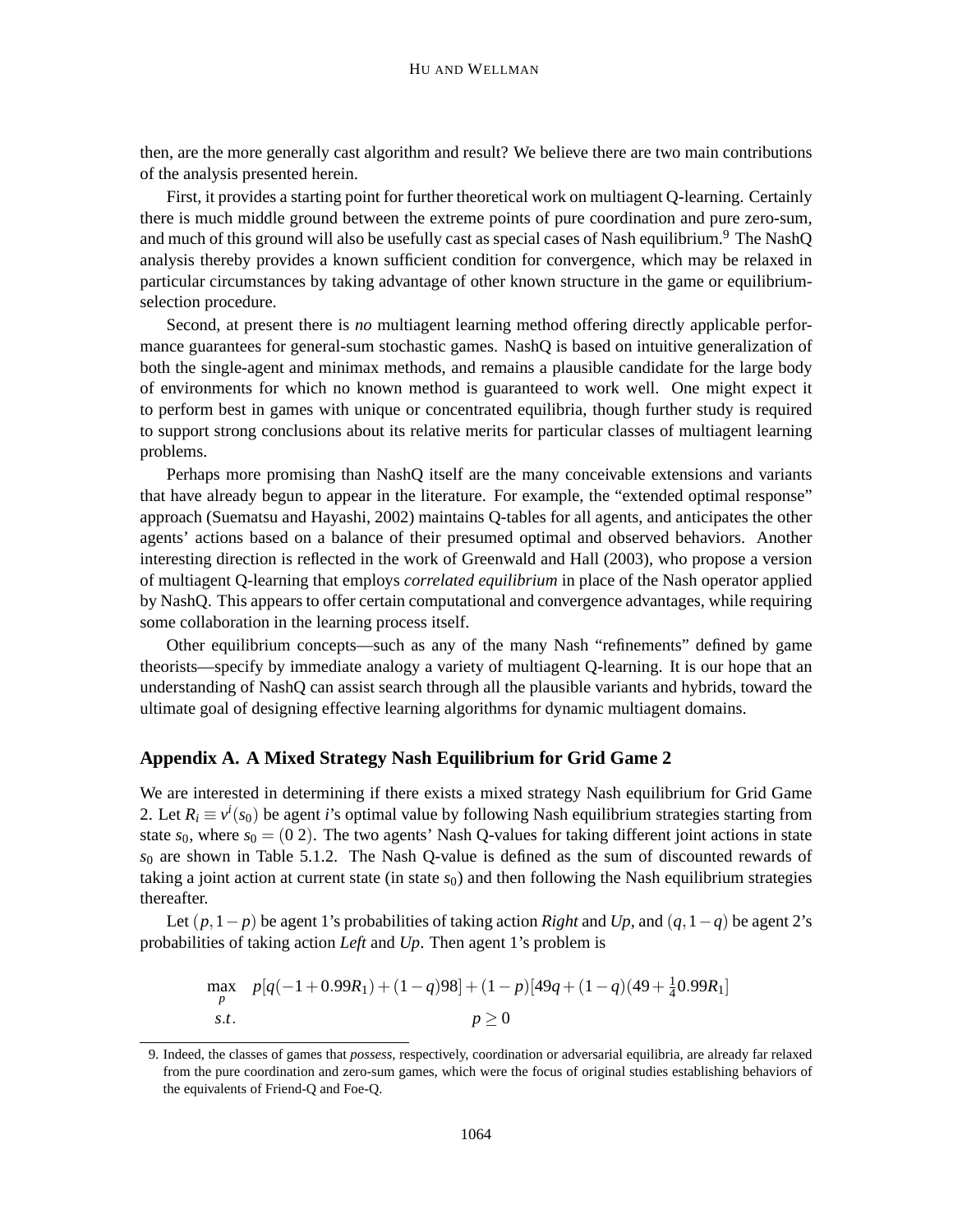then, are the more generally cast algorithm and result? We believe there are two main contributions of the analysis presented herein.

First, it provides a starting point for further theoretical work on multiagent Q-learning. Certainly there is much middle ground between the extreme points of pure coordination and pure zero-sum, and much of this ground will also be usefully cast as special cases of Nash equilibrium.<sup>9</sup> The NashQ analysis thereby provides a known sufficient condition for convergence, which may be relaxed in particular circumstances by taking advantage of other known structure in the game or equilibriumselection procedure.

Second, at present there is *no* multiagent learning method offering directly applicable performance guarantees for general-sum stochastic games. NashQ is based on intuitive generalization of both the single-agent and minimax methods, and remains a plausible candidate for the large body of environments for which no known method is guaranteed to work well. One might expect it to perform best in games with unique or concentrated equilibria, though further study is required to support strong conclusions about its relative merits for particular classes of multiagent learning problems.

Perhaps more promising than NashQ itself are the many conceivable extensions and variants that have already begun to appear in the literature. For example, the "extended optimal response" approach (Suematsu and Hayashi, 2002) maintains Q-tables for all agents, and anticipates the other agents' actions based on a balance of their presumed optimal and observed behaviors. Another interesting direction is reflected in the work of Greenwald and Hall (2003), who propose a version of multiagent Q-learning that employs *correlated equilibrium* in place of the Nash operator applied by NashQ. This appears to offer certain computational and convergence advantages, while requiring some collaboration in the learning process itself.

Other equilibrium concepts—such as any of the many Nash "refinements" defined by game theorists—specify by immediate analogy a variety of multiagent Q-learning. It is our hope that an understanding of NashQ can assist search through all the plausible variants and hybrids, toward the ultimate goal of designing effective learning algorithms for dynamic multiagent domains.

#### **Appendix A. A Mixed Strategy Nash Equilibrium for Grid Game 2**

We are interested in determining if there exists a mixed strategy Nash equilibrium for Grid Game 2. Let  $R_i \equiv v^i(s_0)$  be agent *i*'s optimal value by following Nash equilibrium strategies starting from state  $s_0$ , where  $s_0 = (0, 2)$ . The two agents' Nash Q-values for taking different joint actions in state  $s<sub>0</sub>$  are shown in Table 5.1.2. The Nash Q-value is defined as the sum of discounted rewards of taking a joint action at current state (in state *s*0) and then following the Nash equilibrium strategies thereafter.

Let  $(p,1-p)$  be agent 1's probabilities of taking action *Right* and *Up*, and  $(q,1-q)$  be agent 2's probabilities of taking action *Left* and *Up*. Then agent 1's problem is

$$
\max_{p} p[q(-1+0.99R_1) + (1-q)98] + (1-p)[49q + (1-q)(49 + \frac{1}{4}0.99R_1]
$$
  
s.t.  $p \ge 0$ 

<sup>9.</sup> Indeed, the classes of games that *possess*, respectively, coordination or adversarial equilibria, are already far relaxed from the pure coordination and zero-sum games, which were the focus of original studies establishing behaviors of the equivalents of Friend-Q and Foe-Q.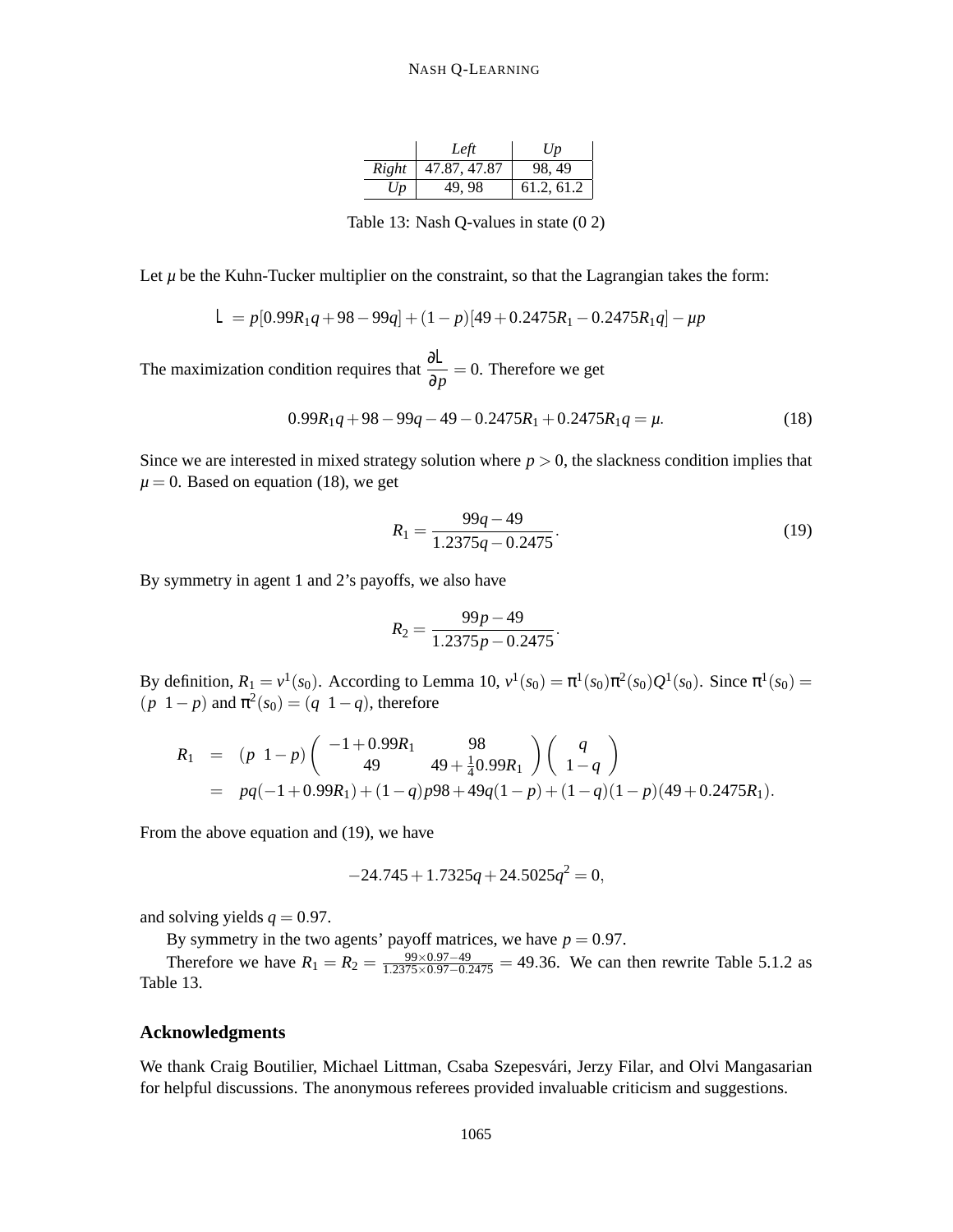|       | Left         | Up         |
|-------|--------------|------------|
| Right | 47.87, 47.87 | 98, 49     |
| Up    | 49.98        | 61.2, 61.2 |

Table 13: Nash Q-values in state (0 2)

Let  $\mu$  be the Kuhn-Tucker multiplier on the constraint, so that the Lagrangian takes the form:

$$
L = p[0.99R_1q + 98 - 99q] + (1 - p)[49 + 0.2475R_1 - 0.2475R_1q] - \mu p
$$

The maximization condition requires that  $\frac{\partial L}{\partial p} = 0$ . Therefore we get

$$
0.99R_1q + 98 - 99q - 49 - 0.2475R_1 + 0.2475R_1q = \mu.
$$
\n(18)

Since we are interested in mixed strategy solution where  $p > 0$ , the slackness condition implies that  $\mu = 0$ . Based on equation (18), we get

$$
R_1 = \frac{99q - 49}{1.2375q - 0.2475}.\tag{19}
$$

By symmetry in agent 1 and 2's payoffs, we also have

$$
R_2 = \frac{99p - 49}{1.2375p - 0.2475}.
$$

By definition,  $R_1 = v^1(s_0)$ . According to Lemma 10,  $v^1(s_0) = \pi^1(s_0)\pi^2(s_0)Q^1(s_0)$ . Since  $\pi^1(s_0) =$  $(p \ 1-p)$  and  $\pi^2(s_0)=(q \ 1-q)$ , therefore

$$
R_1 = (p \ 1-p) \begin{pmatrix} -1+0.99R_1 & 98 \\ 49 & 49+\frac{1}{4}0.99R_1 \end{pmatrix} \begin{pmatrix} q \\ 1-q \end{pmatrix}
$$
  
=  $pq(-1+0.99R_1)+(1-q)p98+49q(1-p)+(1-q)(1-p)(49+0.2475R_1).$ 

From the above equation and (19), we have

$$
-24.745 + 1.7325q + 24.5025q^2 = 0,
$$

and solving yields  $q = 0.97$ .

By symmetry in the two agents' payoff matrices, we have  $p = 0.97$ .

Therefore we have  $R_1 = R_2 = \frac{99 \times 0.97 - 49}{1.2375 \times 0.97 - 0.2475} = 49.36$ . We can then rewrite Table 5.1.2 as Table 13.

#### **Acknowledgments**

We thank Craig Boutilier, Michael Littman, Csaba Szepesvári, Jerzy Filar, and Olvi Mangasarian for helpful discussions. The anonymous referees provided invaluable criticism and suggestions.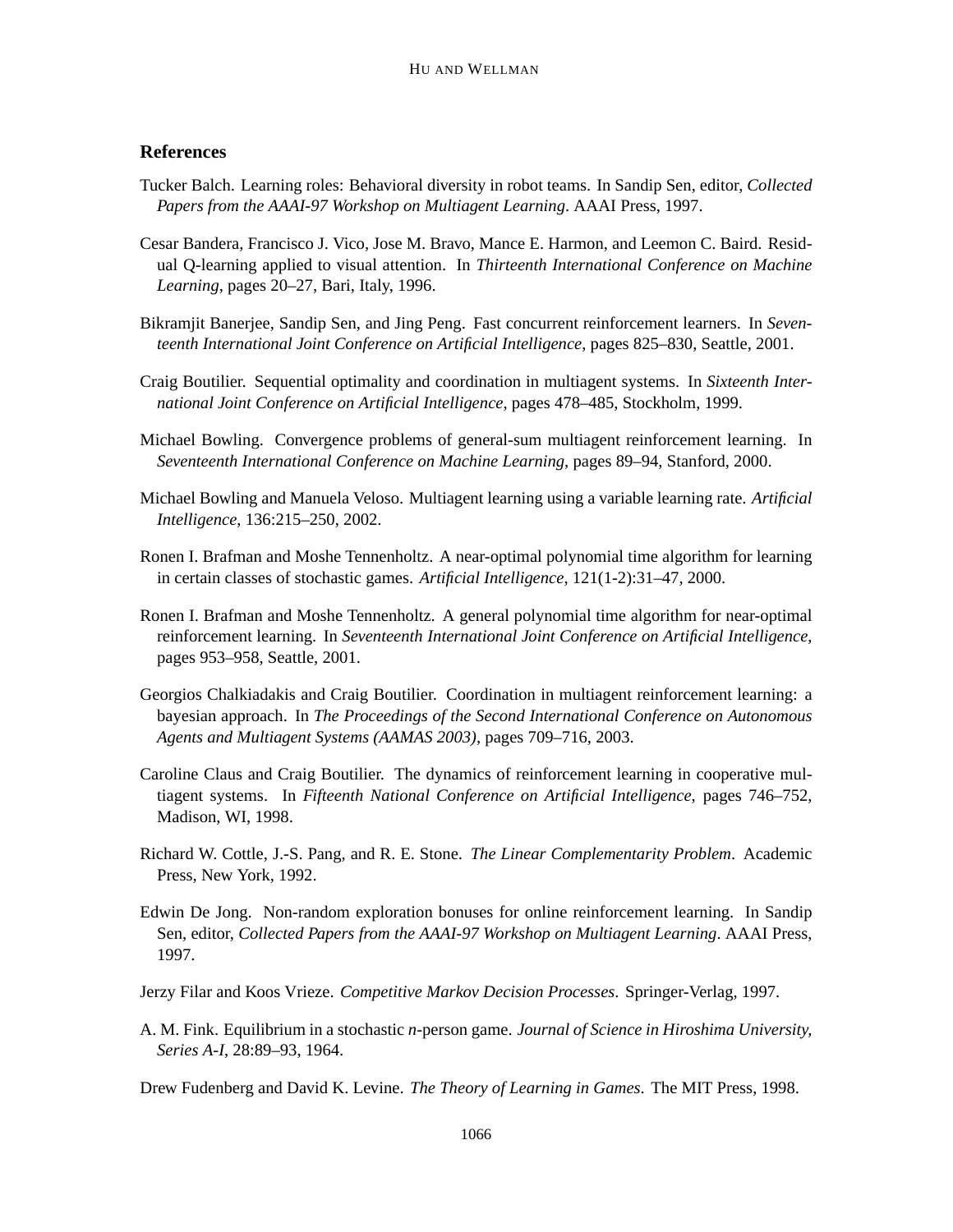# **References**

- Tucker Balch. Learning roles: Behavioral diversity in robot teams. In Sandip Sen, editor, *Collected Papers from the AAAI-97 Workshop on Multiagent Learning*. AAAI Press, 1997.
- Cesar Bandera, Francisco J. Vico, Jose M. Bravo, Mance E. Harmon, and Leemon C. Baird. Residual Q-learning applied to visual attention. In *Thirteenth International Conference on Machine Learning*, pages 20–27, Bari, Italy, 1996.
- Bikramjit Banerjee, Sandip Sen, and Jing Peng. Fast concurrent reinforcement learners. In *Seventeenth International Joint Conference on Artificial Intelligence*, pages 825–830, Seattle, 2001.
- Craig Boutilier. Sequential optimality and coordination in multiagent systems. In *Sixteenth International Joint Conference on Artificial Intelligence*, pages 478–485, Stockholm, 1999.
- Michael Bowling. Convergence problems of general-sum multiagent reinforcement learning. In *Seventeenth International Conference on Machine Learning*, pages 89–94, Stanford, 2000.
- Michael Bowling and Manuela Veloso. Multiagent learning using a variable learning rate. *Artificial Intelligence*, 136:215–250, 2002.
- Ronen I. Brafman and Moshe Tennenholtz. A near-optimal polynomial time algorithm for learning in certain classes of stochastic games. *Artificial Intelligence*, 121(1-2):31–47, 2000.
- Ronen I. Brafman and Moshe Tennenholtz. A general polynomial time algorithm for near-optimal reinforcement learning. In *Seventeenth International Joint Conference on Artificial Intelligence*, pages 953–958, Seattle, 2001.
- Georgios Chalkiadakis and Craig Boutilier. Coordination in multiagent reinforcement learning: a bayesian approach. In *The Proceedings of the Second International Conference on Autonomous Agents and Multiagent Systems (AAMAS 2003)*, pages 709–716, 2003.
- Caroline Claus and Craig Boutilier. The dynamics of reinforcement learning in cooperative multiagent systems. In *Fifteenth National Conference on Artificial Intelligence*, pages 746–752, Madison, WI, 1998.
- Richard W. Cottle, J.-S. Pang, and R. E. Stone. *The Linear Complementarity Problem*. Academic Press, New York, 1992.
- Edwin De Jong. Non-random exploration bonuses for online reinforcement learning. In Sandip Sen, editor, *Collected Papers from the AAAI-97 Workshop on Multiagent Learning*. AAAI Press, 1997.
- Jerzy Filar and Koos Vrieze. *Competitive Markov Decision Processes*. Springer-Verlag, 1997.
- A. M. Fink. Equilibrium in a stochastic *n*-person game. *Journal of Science in Hiroshima University, Series A-I*, 28:89–93, 1964.

Drew Fudenberg and David K. Levine. *The Theory of Learning in Games*. The MIT Press, 1998.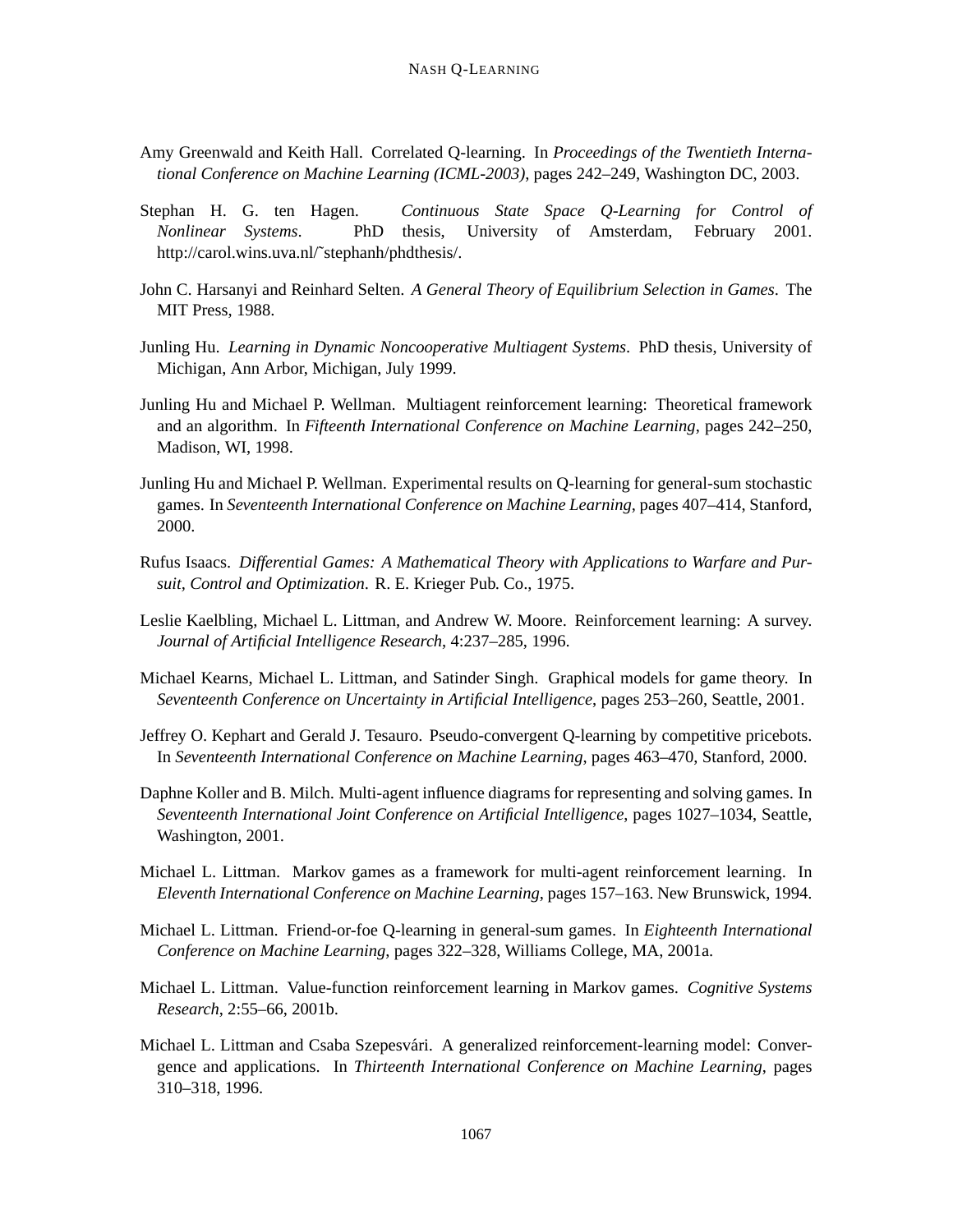- Amy Greenwald and Keith Hall. Correlated Q-learning. In *Proceedings of the Twentieth International Conference on Machine Learning (ICML-2003)*, pages 242–249, Washington DC, 2003.
- Stephan H. G. ten Hagen. *Continuous State Space Q-Learning for Control of Nonlinear Systems*. PhD thesis, University of Amsterdam, February 2001. http://carol.wins.uva.nl/˜stephanh/phdthesis/.
- John C. Harsanyi and Reinhard Selten. *A General Theory of Equilibrium Selection in Games*. The MIT Press, 1988.
- Junling Hu. *Learning in Dynamic Noncooperative Multiagent Systems*. PhD thesis, University of Michigan, Ann Arbor, Michigan, July 1999.
- Junling Hu and Michael P. Wellman. Multiagent reinforcement learning: Theoretical framework and an algorithm. In *Fifteenth International Conference on Machine Learning*, pages 242–250, Madison, WI, 1998.
- Junling Hu and Michael P. Wellman. Experimental results on Q-learning for general-sum stochastic games. In *Seventeenth International Conference on Machine Learning*, pages 407–414, Stanford, 2000.
- Rufus Isaacs. *Differential Games: A Mathematical Theory with Applications to Warfare and Pursuit, Control and Optimization*. R. E. Krieger Pub. Co., 1975.
- Leslie Kaelbling, Michael L. Littman, and Andrew W. Moore. Reinforcement learning: A survey. *Journal of Artificial Intelligence Research*, 4:237–285, 1996.
- Michael Kearns, Michael L. Littman, and Satinder Singh. Graphical models for game theory. In *Seventeenth Conference on Uncertainty in Artificial Intelligence*, pages 253–260, Seattle, 2001.
- Jeffrey O. Kephart and Gerald J. Tesauro. Pseudo-convergent Q-learning by competitive pricebots. In *Seventeenth International Conference on Machine Learning*, pages 463–470, Stanford, 2000.
- Daphne Koller and B. Milch. Multi-agent influence diagrams for representing and solving games. In *Seventeenth International Joint Conference on Artificial Intelligence*, pages 1027–1034, Seattle, Washington, 2001.
- Michael L. Littman. Markov games as a framework for multi-agent reinforcement learning. In *Eleventh International Conference on Machine Learning*, pages 157–163. New Brunswick, 1994.
- Michael L. Littman. Friend-or-foe Q-learning in general-sum games. In *Eighteenth International Conference on Machine Learning*, pages 322–328, Williams College, MA, 2001a.
- Michael L. Littman. Value-function reinforcement learning in Markov games. *Cognitive Systems Research*, 2:55–66, 2001b.
- Michael L. Littman and Csaba Szepesvári. A generalized reinforcement-learning model: Convergence and applications. In *Thirteenth International Conference on Machine Learning*, pages 310–318, 1996.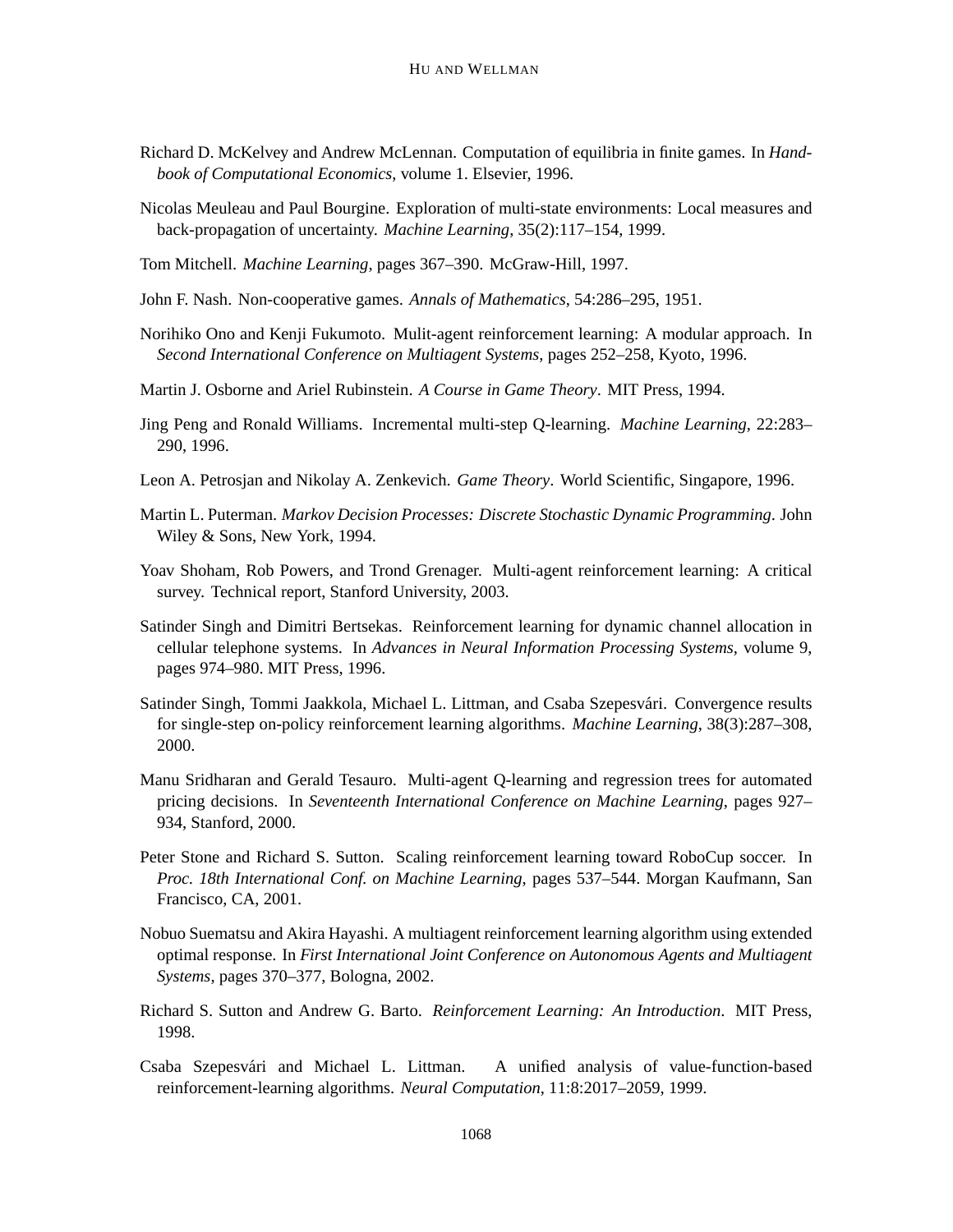- Richard D. McKelvey and Andrew McLennan. Computation of equilibria in finite games. In *Handbook of Computational Economics*, volume 1. Elsevier, 1996.
- Nicolas Meuleau and Paul Bourgine. Exploration of multi-state environments: Local measures and back-propagation of uncertainty. *Machine Learning*, 35(2):117–154, 1999.
- Tom Mitchell. *Machine Learning*, pages 367–390. McGraw-Hill, 1997.
- John F. Nash. Non-cooperative games. *Annals of Mathematics*, 54:286–295, 1951.
- Norihiko Ono and Kenji Fukumoto. Mulit-agent reinforcement learning: A modular approach. In *Second International Conference on Multiagent Systems*, pages 252–258, Kyoto, 1996.
- Martin J. Osborne and Ariel Rubinstein. *A Course in Game Theory*. MIT Press, 1994.
- Jing Peng and Ronald Williams. Incremental multi-step Q-learning. *Machine Learning*, 22:283– 290, 1996.
- Leon A. Petrosjan and Nikolay A. Zenkevich. *Game Theory*. World Scientific, Singapore, 1996.
- Martin L. Puterman. *Markov Decision Processes: Discrete Stochastic Dynamic Programming*. John Wiley & Sons, New York, 1994.
- Yoav Shoham, Rob Powers, and Trond Grenager. Multi-agent reinforcement learning: A critical survey. Technical report, Stanford University, 2003.
- Satinder Singh and Dimitri Bertsekas. Reinforcement learning for dynamic channel allocation in cellular telephone systems. In *Advances in Neural Information Processing Systems*, volume 9, pages 974–980. MIT Press, 1996.
- Satinder Singh, Tommi Jaakkola, Michael L. Littman, and Csaba Szepesvári. Convergence results for single-step on-policy reinforcement learning algorithms. *Machine Learning*, 38(3):287–308, 2000.
- Manu Sridharan and Gerald Tesauro. Multi-agent Q-learning and regression trees for automated pricing decisions. In *Seventeenth International Conference on Machine Learning*, pages 927– 934, Stanford, 2000.
- Peter Stone and Richard S. Sutton. Scaling reinforcement learning toward RoboCup soccer. In *Proc. 18th International Conf. on Machine Learning*, pages 537–544. Morgan Kaufmann, San Francisco, CA, 2001.
- Nobuo Suematsu and Akira Hayashi. A multiagent reinforcement learning algorithm using extended optimal response. In *First International Joint Conference on Autonomous Agents and Multiagent Systems*, pages 370–377, Bologna, 2002.
- Richard S. Sutton and Andrew G. Barto. *Reinforcement Learning: An Introduction*. MIT Press, 1998.
- Csaba Szepesvari and Michael L. Littman. A unified analysis of value-function-based ´ reinforcement-learning algorithms. *Neural Computation*, 11:8:2017–2059, 1999.